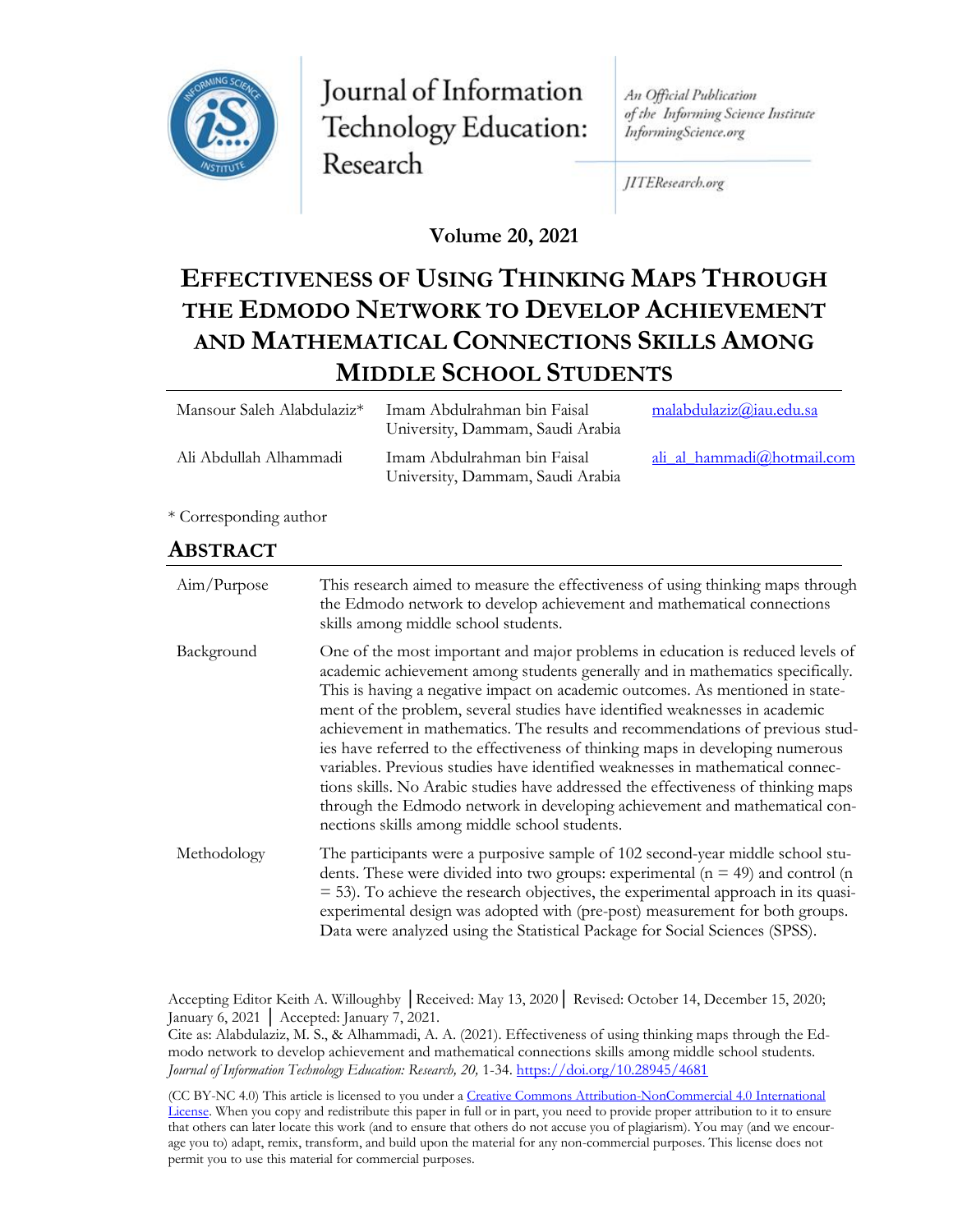

Journal of Information Technology Education: Research

An Official Publication of the Informing Science Institute InformingScience.org

JITEResearch.org

**Volume 20, 2021**

# **EFFECTIVENESS OF USING THINKING MAPS THROUGH THE EDMODO NETWORK TO DEVELOP ACHIEVEMENT AND MATHEMATICAL CONNECTIONS SKILLS AMONG MIDDLE SCHOOL STUDENTS**

| Mansour Saleh Alabdulaziz <sup>*</sup> | Imam Abdulrahman bin Faisal<br>University, Dammam, Saudi Arabia | malabdulaziz@iau.edu.sa        |
|----------------------------------------|-----------------------------------------------------------------|--------------------------------|
| Ali Abdullah Alhammadi                 | Imam Abdulrahman bin Faisal<br>University, Dammam, Saudi Arabia | ali al hammadi $@$ hotmail.com |

\* Corresponding author

### **ABSTRACT**

| Aim/Purpose | This research aimed to measure the effectiveness of using thinking maps through<br>the Edmodo network to develop achievement and mathematical connections<br>skills among middle school students.                                                                                                                                                                                                                                                                                                                                                                                                                                                                                                                                                                                                         |
|-------------|-----------------------------------------------------------------------------------------------------------------------------------------------------------------------------------------------------------------------------------------------------------------------------------------------------------------------------------------------------------------------------------------------------------------------------------------------------------------------------------------------------------------------------------------------------------------------------------------------------------------------------------------------------------------------------------------------------------------------------------------------------------------------------------------------------------|
| Background  | One of the most important and major problems in education is reduced levels of<br>academic achievement among students generally and in mathematics specifically.<br>This is having a negative impact on academic outcomes. As mentioned in state-<br>ment of the problem, several studies have identified weaknesses in academic<br>achievement in mathematics. The results and recommendations of previous stud-<br>ies have referred to the effectiveness of thinking maps in developing numerous<br>variables. Previous studies have identified weaknesses in mathematical connec-<br>tions skills. No Arabic studies have addressed the effectiveness of thinking maps<br>through the Edmodo network in developing achievement and mathematical con-<br>nections skills among middle school students. |
| Methodology | The participants were a purposive sample of 102 second-year middle school stu-<br>dents. These were divided into two groups: experimental ( $n = 49$ ) and control (n<br>$=$ 53). To achieve the research objectives, the experimental approach in its quasi-<br>experimental design was adopted with (pre-post) measurement for both groups.<br>Data were analyzed using the Statistical Package for Social Sciences (SPSS).                                                                                                                                                                                                                                                                                                                                                                             |

Accepting Editor Keith A. Willoughby │Received: May 13, 2020│ Revised: October 14, December 15, 2020; January 6, 2021 │ Accepted: January 7, 2021.

Cite as: Alabdulaziz, M. S., & Alhammadi, A. A. (2021). Effectiveness of using thinking maps through the Edmodo network to develop achievement and mathematical connections skills among middle school students. *Journal of Information Technology Education: Research, 20,* 1-34.<https://doi.org/10.28945/4681>

(CC BY-NC 4.0) This article is licensed to you under a [Creative Commons Attribution-NonCommercial 4.0 International](https://creativecommons.org/licenses/by-nc/4.0/)  [License.](https://creativecommons.org/licenses/by-nc/4.0/) When you copy and redistribute this paper in full or in part, you need to provide proper attribution to it to ensure that others can later locate this work (and to ensure that others do not accuse you of plagiarism). You may (and we encourage you to) adapt, remix, transform, and build upon the material for any non-commercial purposes. This license does not permit you to use this material for commercial purposes.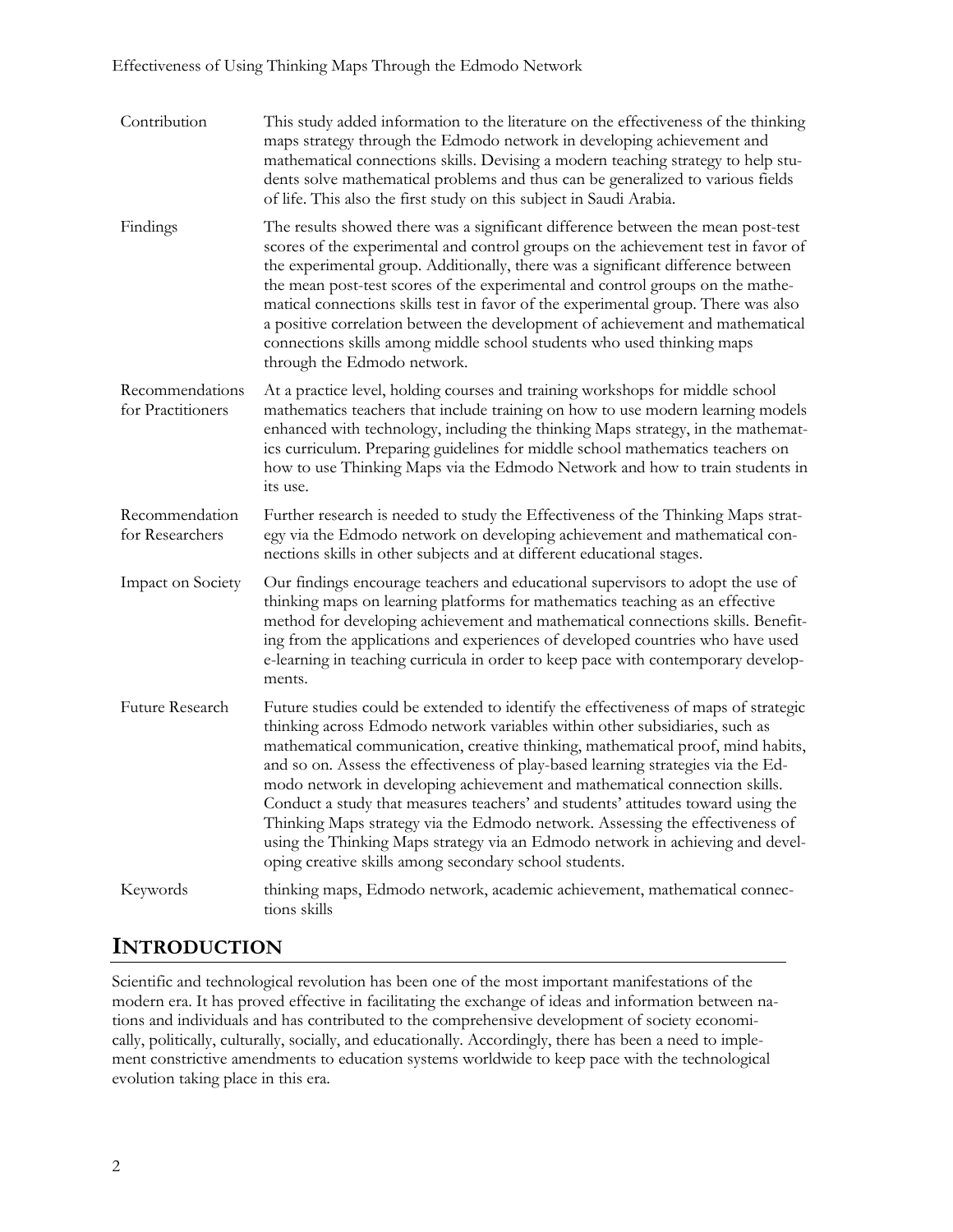| Contribution                         | This study added information to the literature on the effectiveness of the thinking<br>maps strategy through the Edmodo network in developing achievement and<br>mathematical connections skills. Devising a modern teaching strategy to help stu-<br>dents solve mathematical problems and thus can be generalized to various fields<br>of life. This also the first study on this subject in Saudi Arabia.                                                                                                                                                                                                                                                                                                                              |
|--------------------------------------|-------------------------------------------------------------------------------------------------------------------------------------------------------------------------------------------------------------------------------------------------------------------------------------------------------------------------------------------------------------------------------------------------------------------------------------------------------------------------------------------------------------------------------------------------------------------------------------------------------------------------------------------------------------------------------------------------------------------------------------------|
| Findings                             | The results showed there was a significant difference between the mean post-test<br>scores of the experimental and control groups on the achievement test in favor of<br>the experimental group. Additionally, there was a significant difference between<br>the mean post-test scores of the experimental and control groups on the mathe-<br>matical connections skills test in favor of the experimental group. There was also<br>a positive correlation between the development of achievement and mathematical<br>connections skills among middle school students who used thinking maps<br>through the Edmodo network.                                                                                                              |
| Recommendations<br>for Practitioners | At a practice level, holding courses and training workshops for middle school<br>mathematics teachers that include training on how to use modern learning models<br>enhanced with technology, including the thinking Maps strategy, in the mathemat-<br>ics curriculum. Preparing guidelines for middle school mathematics teachers on<br>how to use Thinking Maps via the Edmodo Network and how to train students in<br>its use.                                                                                                                                                                                                                                                                                                        |
| Recommendation<br>for Researchers    | Further research is needed to study the Effectiveness of the Thinking Maps strat-<br>egy via the Edmodo network on developing achievement and mathematical con-<br>nections skills in other subjects and at different educational stages.                                                                                                                                                                                                                                                                                                                                                                                                                                                                                                 |
| Impact on Society                    | Our findings encourage teachers and educational supervisors to adopt the use of<br>thinking maps on learning platforms for mathematics teaching as an effective<br>method for developing achievement and mathematical connections skills. Benefit-<br>ing from the applications and experiences of developed countries who have used<br>e-learning in teaching curricula in order to keep pace with contemporary develop-<br>ments.                                                                                                                                                                                                                                                                                                       |
| Future Research                      | Future studies could be extended to identify the effectiveness of maps of strategic<br>thinking across Edmodo network variables within other subsidiaries, such as<br>mathematical communication, creative thinking, mathematical proof, mind habits,<br>and so on. Assess the effectiveness of play-based learning strategies via the Ed-<br>modo network in developing achievement and mathematical connection skills.<br>Conduct a study that measures teachers' and students' attitudes toward using the<br>Thinking Maps strategy via the Edmodo network. Assessing the effectiveness of<br>using the Thinking Maps strategy via an Edmodo network in achieving and devel-<br>oping creative skills among secondary school students. |
| Keywords                             | thinking maps, Edmodo network, academic achievement, mathematical connec-<br>tions skills                                                                                                                                                                                                                                                                                                                                                                                                                                                                                                                                                                                                                                                 |

### **INTRODUCTION**

Scientific and technological revolution has been one of the most important manifestations of the modern era. It has proved effective in facilitating the exchange of ideas and information between nations and individuals and has contributed to the comprehensive development of society economically, politically, culturally, socially, and educationally. Accordingly, there has been a need to implement constrictive amendments to education systems worldwide to keep pace with the technological evolution taking place in this era.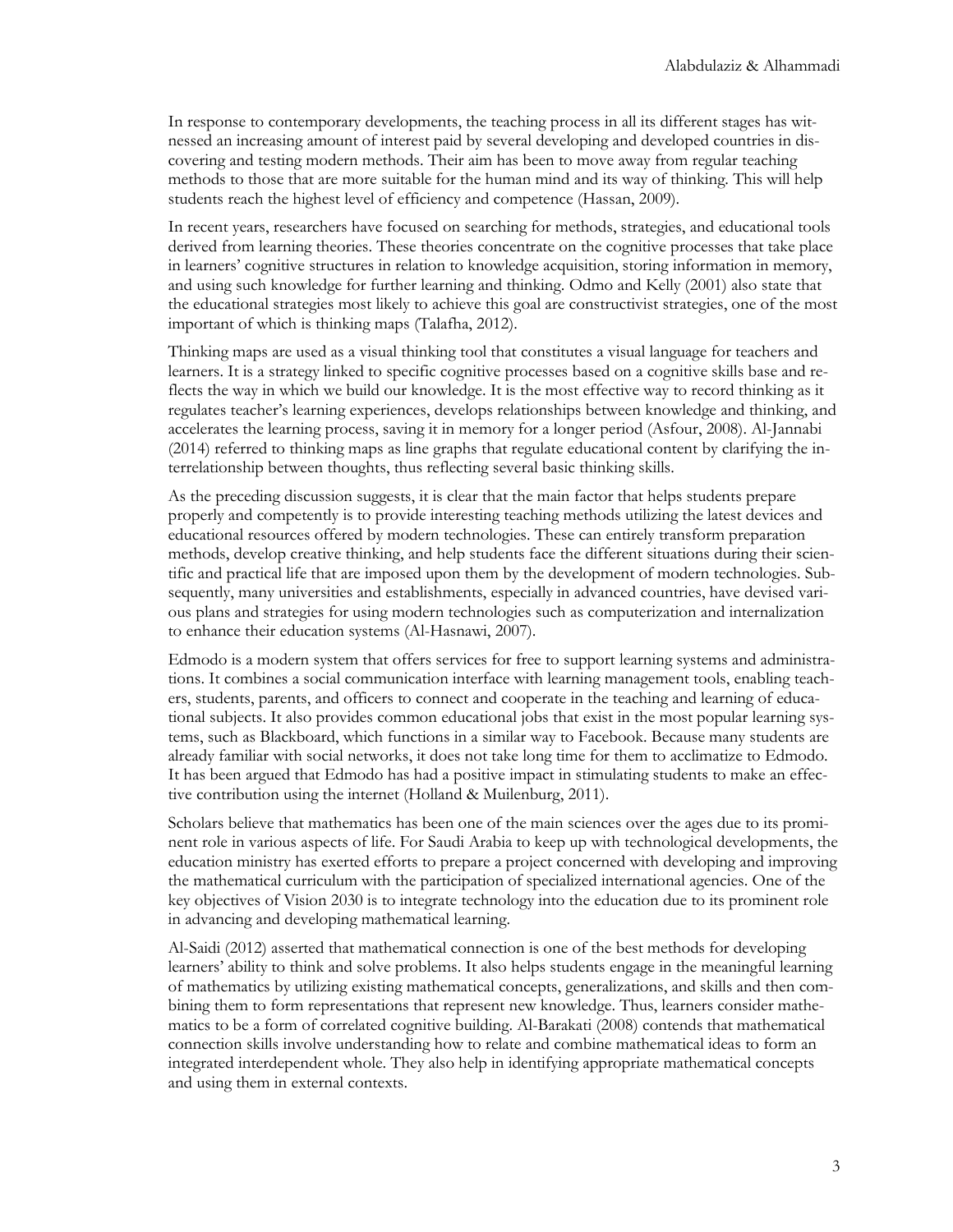In response to contemporary developments, the teaching process in all its different stages has witnessed an increasing amount of interest paid by several developing and developed countries in discovering and testing modern methods. Their aim has been to move away from regular teaching methods to those that are more suitable for the human mind and its way of thinking. This will help students reach the highest level of efficiency and competence (Hassan, 2009).

In recent years, researchers have focused on searching for methods, strategies, and educational tools derived from learning theories. These theories concentrate on the cognitive processes that take place in learners' cognitive structures in relation to knowledge acquisition, storing information in memory, and using such knowledge for further learning and thinking. Odmo and Kelly (2001) also state that the educational strategies most likely to achieve this goal are constructivist strategies, one of the most important of which is thinking maps (Talafha, 2012).

Thinking maps are used as a visual thinking tool that constitutes a visual language for teachers and learners. It is a strategy linked to specific cognitive processes based on a cognitive skills base and reflects the way in which we build our knowledge. It is the most effective way to record thinking as it regulates teacher's learning experiences, develops relationships between knowledge and thinking, and accelerates the learning process, saving it in memory for a longer period (Asfour, 2008). Al-Jannabi (2014) referred to thinking maps as line graphs that regulate educational content by clarifying the interrelationship between thoughts, thus reflecting several basic thinking skills.

As the preceding discussion suggests, it is clear that the main factor that helps students prepare properly and competently is to provide interesting teaching methods utilizing the latest devices and educational resources offered by modern technologies. These can entirely transform preparation methods, develop creative thinking, and help students face the different situations during their scientific and practical life that are imposed upon them by the development of modern technologies. Subsequently, many universities and establishments, especially in advanced countries, have devised various plans and strategies for using modern technologies such as computerization and internalization to enhance their education systems (Al-Hasnawi, 2007).

Edmodo is a modern system that offers services for free to support learning systems and administrations. It combines a social communication interface with learning management tools, enabling teachers, students, parents, and officers to connect and cooperate in the teaching and learning of educational subjects. It also provides common educational jobs that exist in the most popular learning systems, such as Blackboard, which functions in a similar way to Facebook. Because many students are already familiar with social networks, it does not take long time for them to acclimatize to Edmodo. It has been argued that Edmodo has had a positive impact in stimulating students to make an effective contribution using the internet (Holland & Muilenburg, 2011).

Scholars believe that mathematics has been one of the main sciences over the ages due to its prominent role in various aspects of life. For Saudi Arabia to keep up with technological developments, the education ministry has exerted efforts to prepare a project concerned with developing and improving the mathematical curriculum with the participation of specialized international agencies. One of the key objectives of Vision 2030 is to integrate technology into the education due to its prominent role in advancing and developing mathematical learning.

Al-Saidi (2012) asserted that mathematical connection is one of the best methods for developing learners' ability to think and solve problems. It also helps students engage in the meaningful learning of mathematics by utilizing existing mathematical concepts, generalizations, and skills and then combining them to form representations that represent new knowledge. Thus, learners consider mathematics to be a form of correlated cognitive building. Al-Barakati (2008) contends that mathematical connection skills involve understanding how to relate and combine mathematical ideas to form an integrated interdependent whole. They also help in identifying appropriate mathematical concepts and using them in external contexts.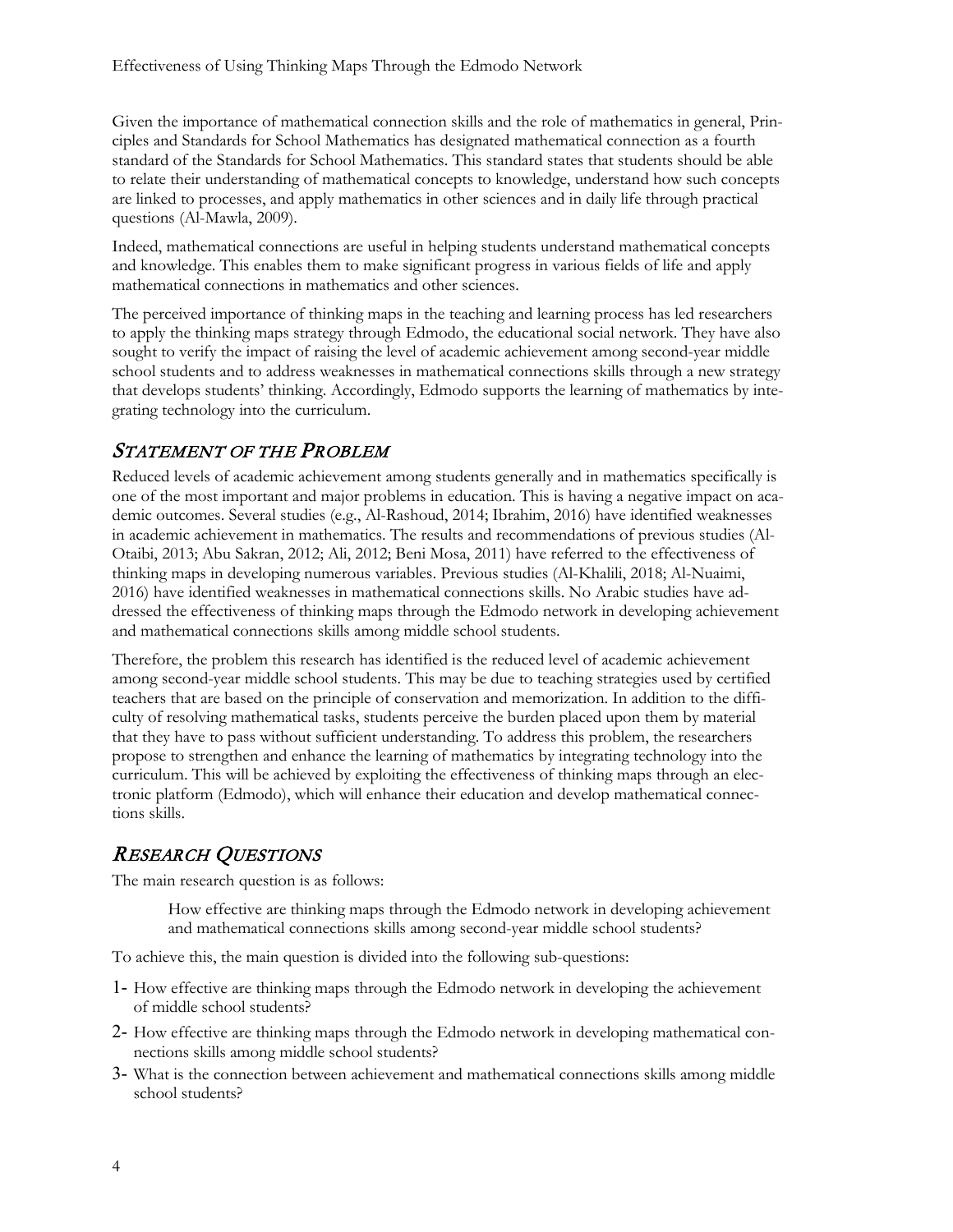Given the importance of mathematical connection skills and the role of mathematics in general, Principles and Standards for School Mathematics has designated mathematical connection as a fourth standard of the Standards for School Mathematics. This standard states that students should be able to relate their understanding of mathematical concepts to knowledge, understand how such concepts are linked to processes, and apply mathematics in other sciences and in daily life through practical questions (Al-Mawla, 2009).

Indeed, mathematical connections are useful in helping students understand mathematical concepts and knowledge. This enables them to make significant progress in various fields of life and apply mathematical connections in mathematics and other sciences.

The perceived importance of thinking maps in the teaching and learning process has led researchers to apply the thinking maps strategy through Edmodo, the educational social network. They have also sought to verify the impact of raising the level of academic achievement among second-year middle school students and to address weaknesses in mathematical connections skills through a new strategy that develops students' thinking. Accordingly, Edmodo supports the learning of mathematics by integrating technology into the curriculum.

### STATEMENT OF THE PROBLEM

Reduced levels of academic achievement among students generally and in mathematics specifically is one of the most important and major problems in education. This is having a negative impact on academic outcomes. Several studies (e.g., Al-Rashoud, 2014; Ibrahim, 2016) have identified weaknesses in academic achievement in mathematics. The results and recommendations of previous studies (Al-Otaibi, 2013; Abu Sakran, 2012; Ali, 2012; Beni Mosa, 2011) have referred to the effectiveness of thinking maps in developing numerous variables. Previous studies (Al-Khalili, 2018; Al-Nuaimi, 2016) have identified weaknesses in mathematical connections skills. No Arabic studies have addressed the effectiveness of thinking maps through the Edmodo network in developing achievement and mathematical connections skills among middle school students.

Therefore, the problem this research has identified is the reduced level of academic achievement among second-year middle school students. This may be due to teaching strategies used by certified teachers that are based on the principle of conservation and memorization. In addition to the difficulty of resolving mathematical tasks, students perceive the burden placed upon them by material that they have to pass without sufficient understanding. To address this problem, the researchers propose to strengthen and enhance the learning of mathematics by integrating technology into the curriculum. This will be achieved by exploiting the effectiveness of thinking maps through an electronic platform (Edmodo), which will enhance their education and develop mathematical connections skills.

## RESEARCH QUESTIONS

The main research question is as follows:

How effective are thinking maps through the Edmodo network in developing achievement and mathematical connections skills among second-year middle school students?

To achieve this, the main question is divided into the following sub-questions:

- 1- How effective are thinking maps through the Edmodo network in developing the achievement of middle school students?
- 2- How effective are thinking maps through the Edmodo network in developing mathematical connections skills among middle school students?
- 3- What is the connection between achievement and mathematical connections skills among middle school students?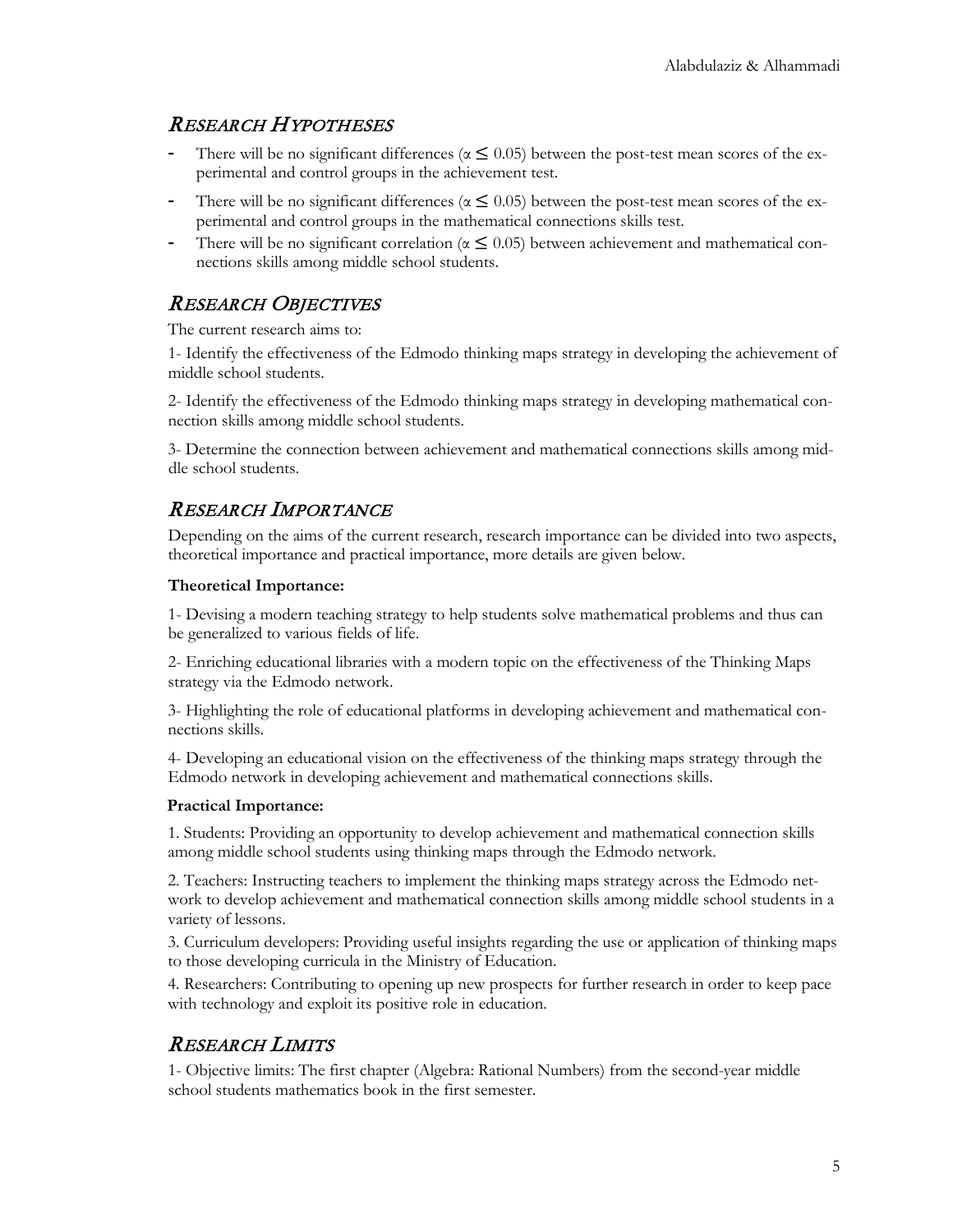### RESEARCH HYPOTHESES

- There will be no significant differences ( $\alpha \leq 0.05$ ) between the post-test mean scores of the experimental and control groups in the achievement test.
- There will be no significant differences ( $\alpha \le 0.05$ ) between the post-test mean scores of the experimental and control groups in the mathematical connections skills test.
- There will be no significant correlation ( $\alpha \leq 0.05$ ) between achievement and mathematical connections skills among middle school students.

### RESEARCH OBJECTIVES

The current research aims to:

1- Identify the effectiveness of the Edmodo thinking maps strategy in developing the achievement of middle school students.

2- Identify the effectiveness of the Edmodo thinking maps strategy in developing mathematical connection skills among middle school students.

3- Determine the connection between achievement and mathematical connections skills among middle school students.

### RESEARCH IMPORTANCE

Depending on the aims of the current research, research importance can be divided into two aspects, theoretical importance and practical importance, more details are given below.

#### **Theoretical Importance:**

1- Devising a modern teaching strategy to help students solve mathematical problems and thus can be generalized to various fields of life.

2- Enriching educational libraries with a modern topic on the effectiveness of the Thinking Maps strategy via the Edmodo network.

3- Highlighting the role of educational platforms in developing achievement and mathematical connections skills.

4- Developing an educational vision on the effectiveness of the thinking maps strategy through the Edmodo network in developing achievement and mathematical connections skills.

#### **Practical Importance:**

1. Students: Providing an opportunity to develop achievement and mathematical connection skills among middle school students using thinking maps through the Edmodo network.

2. Teachers: Instructing teachers to implement the thinking maps strategy across the Edmodo network to develop achievement and mathematical connection skills among middle school students in a variety of lessons.

3. Curriculum developers: Providing useful insights regarding the use or application of thinking maps to those developing curricula in the Ministry of Education.

4. Researchers: Contributing to opening up new prospects for further research in order to keep pace with technology and exploit its positive role in education.

## RESEARCH LIMITS

1- Objective limits: The first chapter (Algebra: Rational Numbers) from the second-year middle school students mathematics book in the first semester.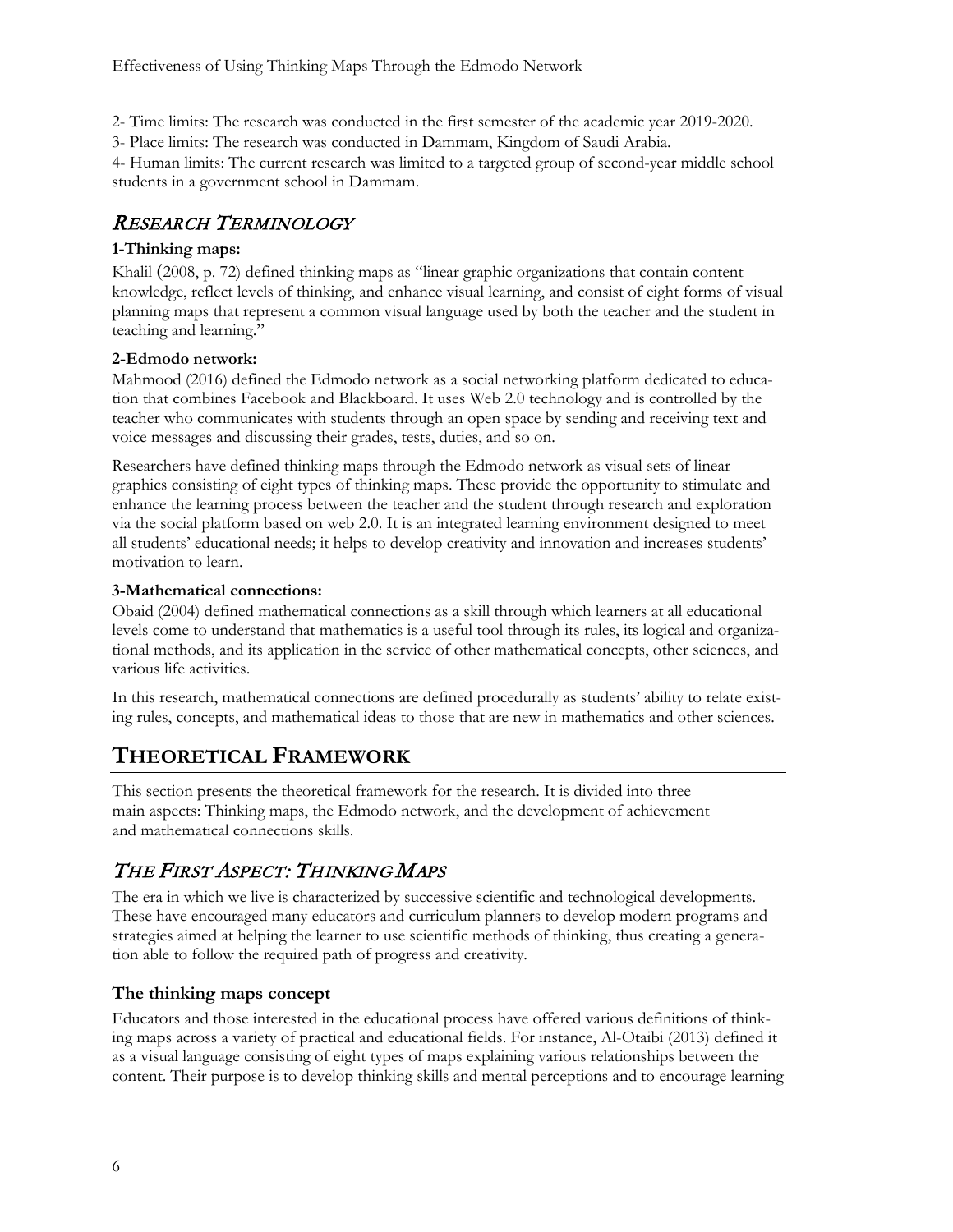2- Time limits: The research was conducted in the first semester of the academic year 2019-2020.

3- Place limits: The research was conducted in Dammam, Kingdom of Saudi Arabia.

4- Human limits: The current research was limited to a targeted group of second-year middle school students in a government school in Dammam.

## RESEARCH TERMINOLOGY

#### **1-Thinking maps:**

Khalil (2008, p. 72) defined thinking maps as "linear graphic organizations that contain content knowledge, reflect levels of thinking, and enhance visual learning, and consist of eight forms of visual planning maps that represent a common visual language used by both the teacher and the student in teaching and learning."

#### **2-Edmodo network:**

Mahmood (2016) defined the Edmodo network as a social networking platform dedicated to education that combines Facebook and Blackboard. It uses Web 2.0 technology and is controlled by the teacher who communicates with students through an open space by sending and receiving text and voice messages and discussing their grades, tests, duties, and so on.

Researchers have defined thinking maps through the Edmodo network as visual sets of linear graphics consisting of eight types of thinking maps. These provide the opportunity to stimulate and enhance the learning process between the teacher and the student through research and exploration via the social platform based on web 2.0. It is an integrated learning environment designed to meet all students' educational needs; it helps to develop creativity and innovation and increases students' motivation to learn.

#### **3-Mathematical connections:**

Obaid (2004) defined mathematical connections as a skill through which learners at all educational levels come to understand that mathematics is a useful tool through its rules, its logical and organizational methods, and its application in the service of other mathematical concepts, other sciences, and various life activities.

In this research, mathematical connections are defined procedurally as students' ability to relate existing rules, concepts, and mathematical ideas to those that are new in mathematics and other sciences.

## **THEORETICAL FRAMEWORK**

This section presents the theoretical framework for the research. It is divided into three main aspects: Thinking maps, the Edmodo network, and the development of achievement and mathematical connections skills.

## THE FIRST ASPECT: THINKING MAPS

The era in which we live is characterized by successive scientific and technological developments. These have encouraged many educators and curriculum planners to develop modern programs and strategies aimed at helping the learner to use scientific methods of thinking, thus creating a generation able to follow the required path of progress and creativity.

#### **The thinking maps concept**

Educators and those interested in the educational process have offered various definitions of thinking maps across a variety of practical and educational fields. For instance, Al-Otaibi (2013) defined it as a visual language consisting of eight types of maps explaining various relationships between the content. Their purpose is to develop thinking skills and mental perceptions and to encourage learning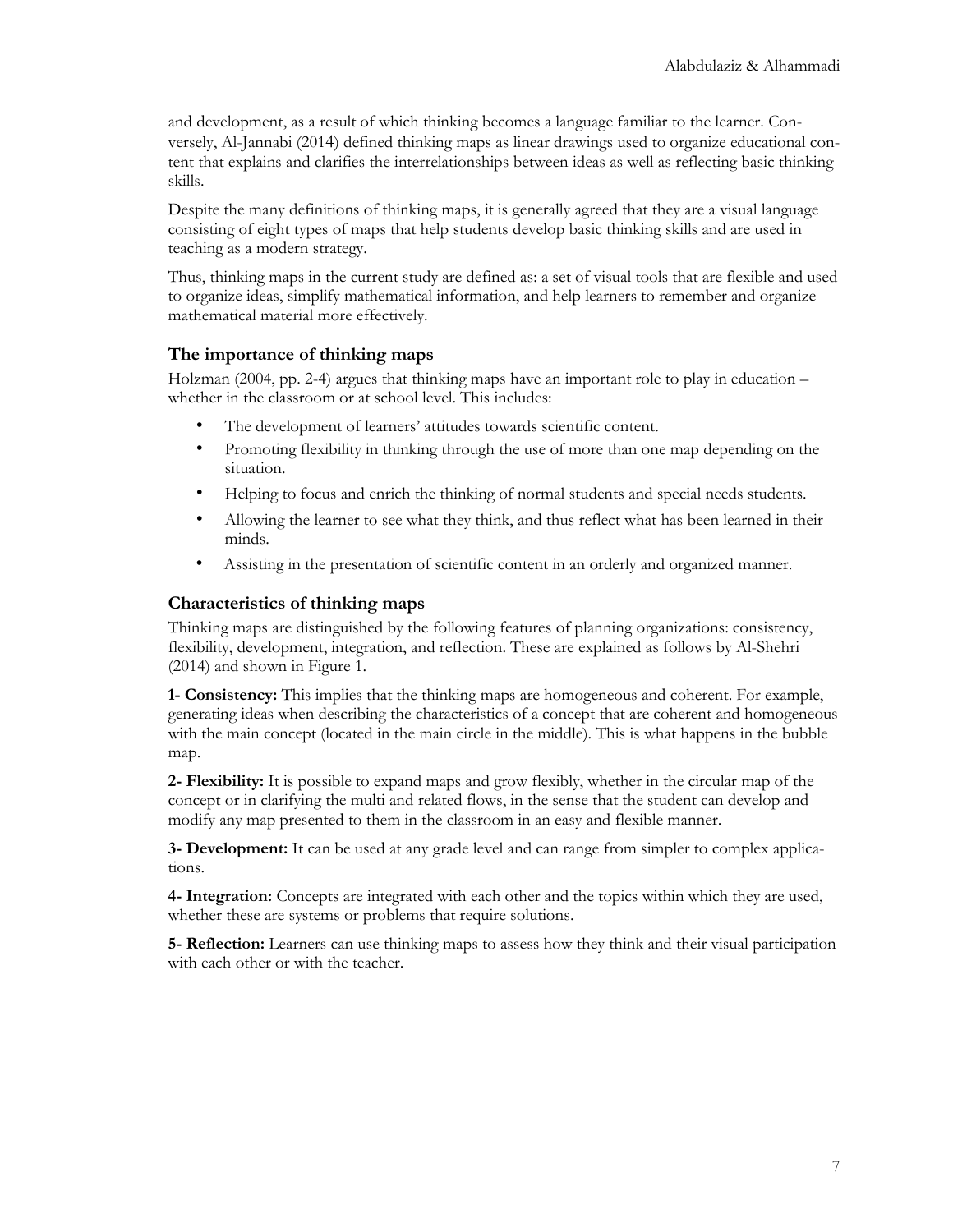and development, as a result of which thinking becomes a language familiar to the learner. Conversely, Al-Jannabi (2014) defined thinking maps as linear drawings used to organize educational content that explains and clarifies the interrelationships between ideas as well as reflecting basic thinking skills.

Despite the many definitions of thinking maps, it is generally agreed that they are a visual language consisting of eight types of maps that help students develop basic thinking skills and are used in teaching as a modern strategy.

Thus, thinking maps in the current study are defined as: a set of visual tools that are flexible and used to organize ideas, simplify mathematical information, and help learners to remember and organize mathematical material more effectively.

#### **The importance of thinking maps**

Holzman (2004, pp. 2-4) argues that thinking maps have an important role to play in education – whether in the classroom or at school level. This includes:

- The development of learners' attitudes towards scientific content.
- Promoting flexibility in thinking through the use of more than one map depending on the situation.
- Helping to focus and enrich the thinking of normal students and special needs students.
- Allowing the learner to see what they think, and thus reflect what has been learned in their minds.
- Assisting in the presentation of scientific content in an orderly and organized manner.

#### **Characteristics of thinking maps**

Thinking maps are distinguished by the following features of planning organizations: consistency, flexibility, development, integration, and reflection. These are explained as follows by Al-Shehri (2014) and shown in Figure 1.

**1- Consistency:** This implies that the thinking maps are homogeneous and coherent. For example, generating ideas when describing the characteristics of a concept that are coherent and homogeneous with the main concept (located in the main circle in the middle). This is what happens in the bubble map.

**2- Flexibility:** It is possible to expand maps and grow flexibly, whether in the circular map of the concept or in clarifying the multi and related flows, in the sense that the student can develop and modify any map presented to them in the classroom in an easy and flexible manner.

**3- Development:** It can be used at any grade level and can range from simpler to complex applications.

**4- Integration:** Concepts are integrated with each other and the topics within which they are used, whether these are systems or problems that require solutions.

**5- Reflection:** Learners can use thinking maps to assess how they think and their visual participation with each other or with the teacher.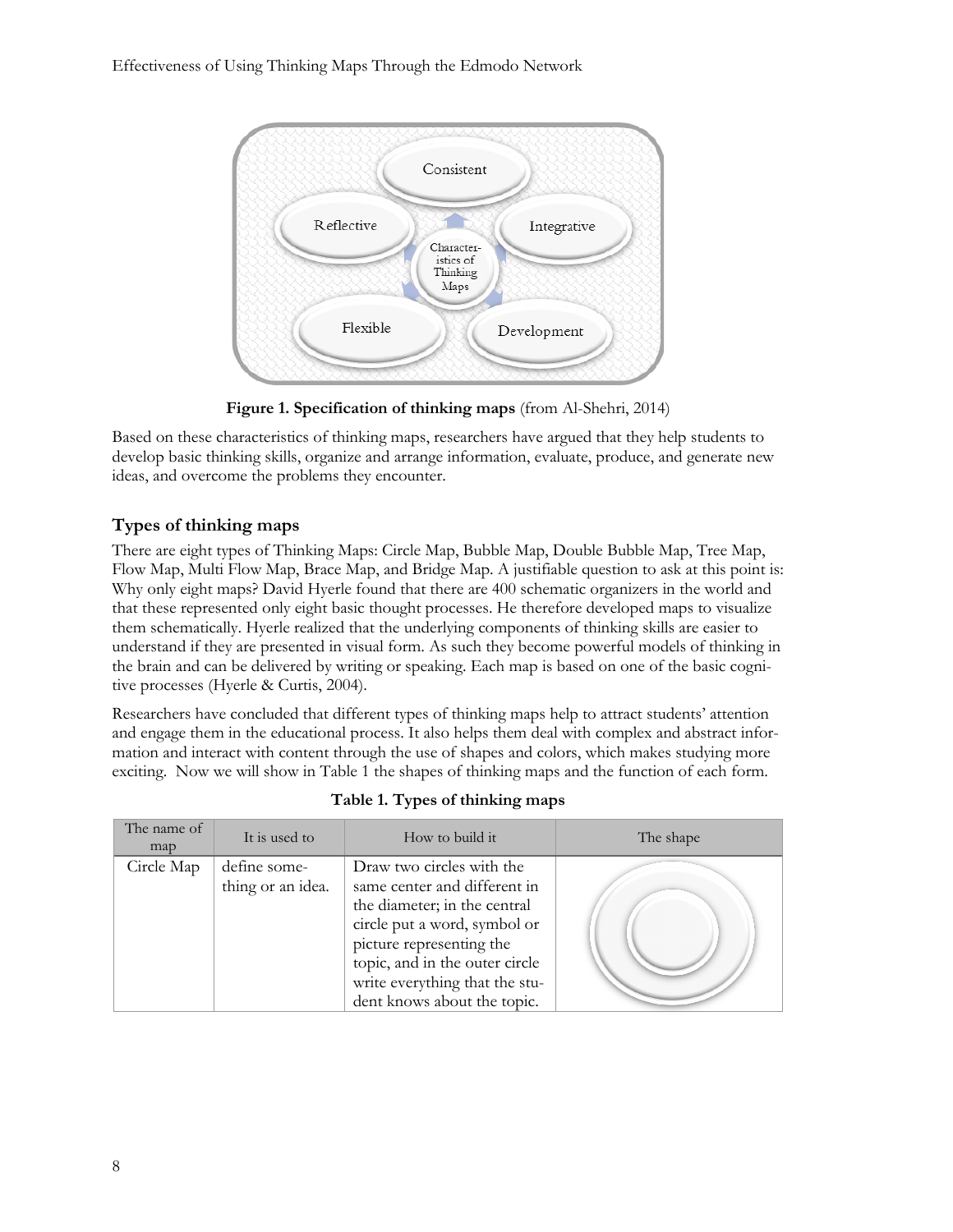

**Figure 1. Specification of thinking maps** (from Al-Shehri, 2014)

Based on these characteristics of thinking maps, researchers have argued that they help students to develop basic thinking skills, organize and arrange information, evaluate, produce, and generate new ideas, and overcome the problems they encounter.

### **Types of thinking maps**

There are eight types of Thinking Maps: Circle Map, Bubble Map, Double Bubble Map, Tree Map, Flow Map, Multi Flow Map, Brace Map, and Bridge Map. A justifiable question to ask at this point is: Why only eight maps? David Hyerle found that there are 400 schematic organizers in the world and that these represented only eight basic thought processes. He therefore developed maps to visualize them schematically. Hyerle realized that the underlying components of thinking skills are easier to understand if they are presented in visual form. As such they become powerful models of thinking in the brain and can be delivered by writing or speaking. Each map is based on one of the basic cognitive processes (Hyerle & Curtis, 2004).

Researchers have concluded that different types of thinking maps help to attract students' attention and engage them in the educational process. It also helps them deal with complex and abstract information and interact with content through the use of shapes and colors, which makes studying more exciting. Now we will show in Table 1 the shapes of thinking maps and the function of each form.

| The name of<br>map | It is used to                     | How to build it                                                                                                                                                                                                                                          | The shape |
|--------------------|-----------------------------------|----------------------------------------------------------------------------------------------------------------------------------------------------------------------------------------------------------------------------------------------------------|-----------|
| Circle Map         | define some-<br>thing or an idea. | Draw two circles with the<br>same center and different in<br>the diameter; in the central<br>circle put a word, symbol or<br>picture representing the<br>topic, and in the outer circle<br>write everything that the stu-<br>dent knows about the topic. |           |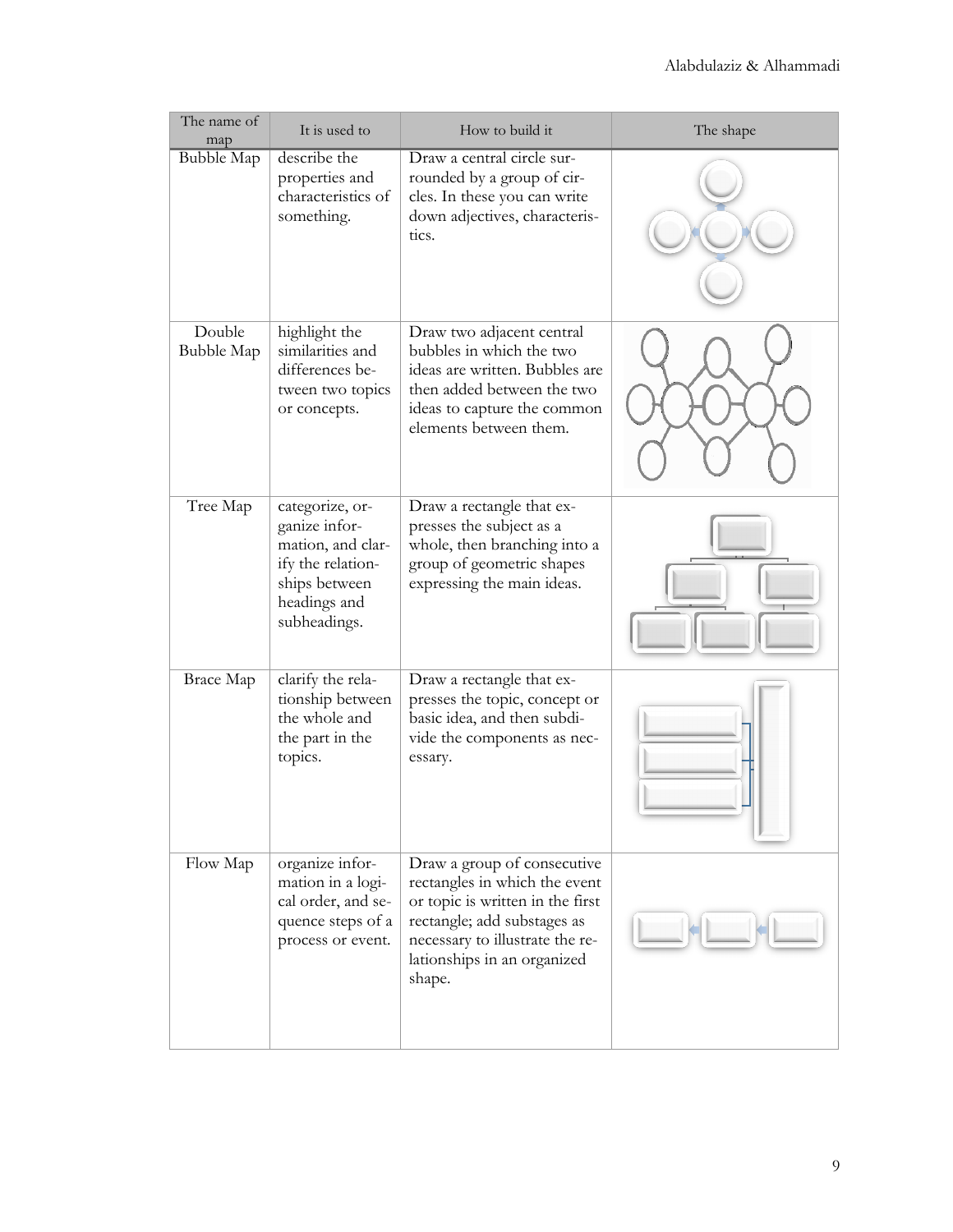| The name of<br>map   | It is used to                                                                                                               | How to build it                                                                                                                                                                                             | The shape |  |
|----------------------|-----------------------------------------------------------------------------------------------------------------------------|-------------------------------------------------------------------------------------------------------------------------------------------------------------------------------------------------------------|-----------|--|
| <b>Bubble Map</b>    | describe the<br>properties and<br>characteristics of<br>something.                                                          | Draw a central circle sur-<br>rounded by a group of cir-<br>cles. In these you can write<br>down adjectives, characteris-<br>tics.                                                                          |           |  |
| Double<br>Bubble Map | highlight the<br>similarities and<br>differences be-<br>tween two topics<br>or concepts.                                    | Draw two adjacent central<br>bubbles in which the two<br>ideas are written. Bubbles are<br>then added between the two<br>ideas to capture the common<br>elements between them.                              |           |  |
| Tree Map             | categorize, or-<br>ganize infor-<br>mation, and clar-<br>ify the relation-<br>ships between<br>headings and<br>subheadings. | Draw a rectangle that ex-<br>presses the subject as a<br>whole, then branching into a<br>group of geometric shapes<br>expressing the main ideas.                                                            |           |  |
| Brace Map            | clarify the rela-<br>tionship between<br>the whole and<br>the part in the<br>topics.                                        | Draw a rectangle that ex-<br>presses the topic, concept or<br>basic idea, and then subdi-<br>vide the components as nec-<br>essary.                                                                         |           |  |
| Flow Map             | organize infor-<br>mation in a logi-<br>cal order, and se-<br>quence steps of a<br>process or event.                        | Draw a group of consecutive<br>rectangles in which the event<br>or topic is written in the first<br>rectangle; add substages as<br>necessary to illustrate the re-<br>lationships in an organized<br>shape. |           |  |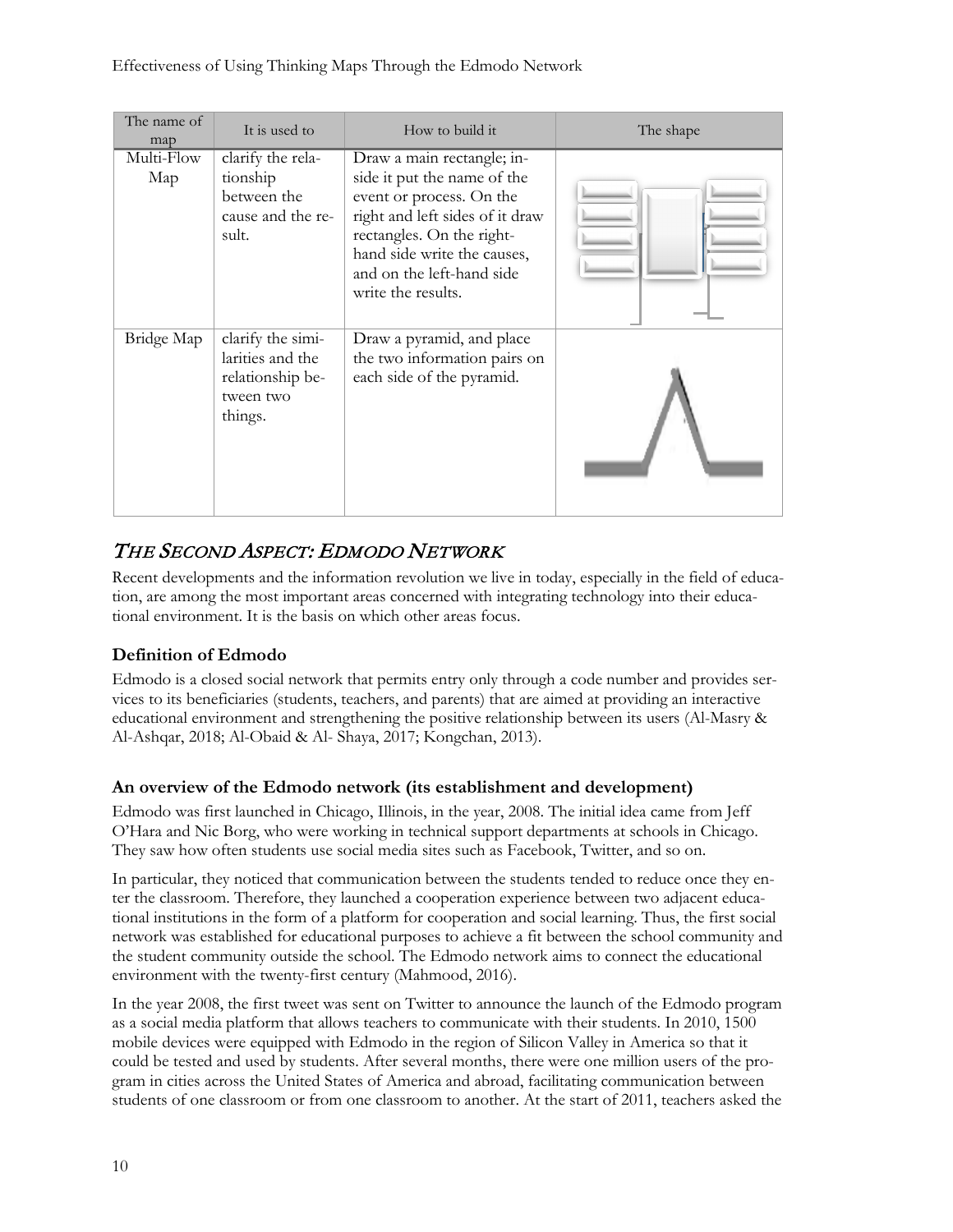| The name of<br>map | It is used to                                                                     | How to build it                                                                                                                                                                                                                         | The shape |
|--------------------|-----------------------------------------------------------------------------------|-----------------------------------------------------------------------------------------------------------------------------------------------------------------------------------------------------------------------------------------|-----------|
| Multi-Flow<br>Map  | clarify the rela-<br>tionship<br>between the<br>cause and the re-<br>sult.        | Draw a main rectangle; in-<br>side it put the name of the<br>event or process. On the<br>right and left sides of it draw<br>rectangles. On the right-<br>hand side write the causes,<br>and on the left-hand side<br>write the results. |           |
| Bridge Map         | clarify the simi-<br>larities and the<br>relationship be-<br>tween two<br>things. | Draw a pyramid, and place<br>the two information pairs on<br>each side of the pyramid.                                                                                                                                                  |           |

## THE SECOND ASPECT: EDMODO NETWORK

Recent developments and the information revolution we live in today, especially in the field of education, are among the most important areas concerned with integrating technology into their educational environment. It is the basis on which other areas focus.

### **Definition of Edmodo**

Edmodo is a closed social network that permits entry only through a code number and provides services to its beneficiaries (students, teachers, and parents) that are aimed at providing an interactive educational environment and strengthening the positive relationship between its users (Al-Masry & Al-Ashqar, 2018; Al-Obaid & Al- Shaya, 2017; Kongchan, 2013).

### **An overview of the Edmodo network (its establishment and development)**

Edmodo was first launched in Chicago, Illinois, in the year, 2008. The initial idea came from Jeff O'Hara and Nic Borg, who were working in technical support departments at schools in Chicago. They saw how often students use social media sites such as Facebook, Twitter, and so on.

In particular, they noticed that communication between the students tended to reduce once they enter the classroom. Therefore, they launched a cooperation experience between two adjacent educational institutions in the form of a platform for cooperation and social learning. Thus, the first social network was established for educational purposes to achieve a fit between the school community and the student community outside the school. The Edmodo network aims to connect the educational environment with the twenty-first century (Mahmood, 2016).

In the year 2008, the first tweet was sent on Twitter to announce the launch of the Edmodo program as a social media platform that allows teachers to communicate with their students. In 2010, 1500 mobile devices were equipped with Edmodo in the region of Silicon Valley in America so that it could be tested and used by students. After several months, there were one million users of the program in cities across the United States of America and abroad, facilitating communication between students of one classroom or from one classroom to another. At the start of 2011, teachers asked the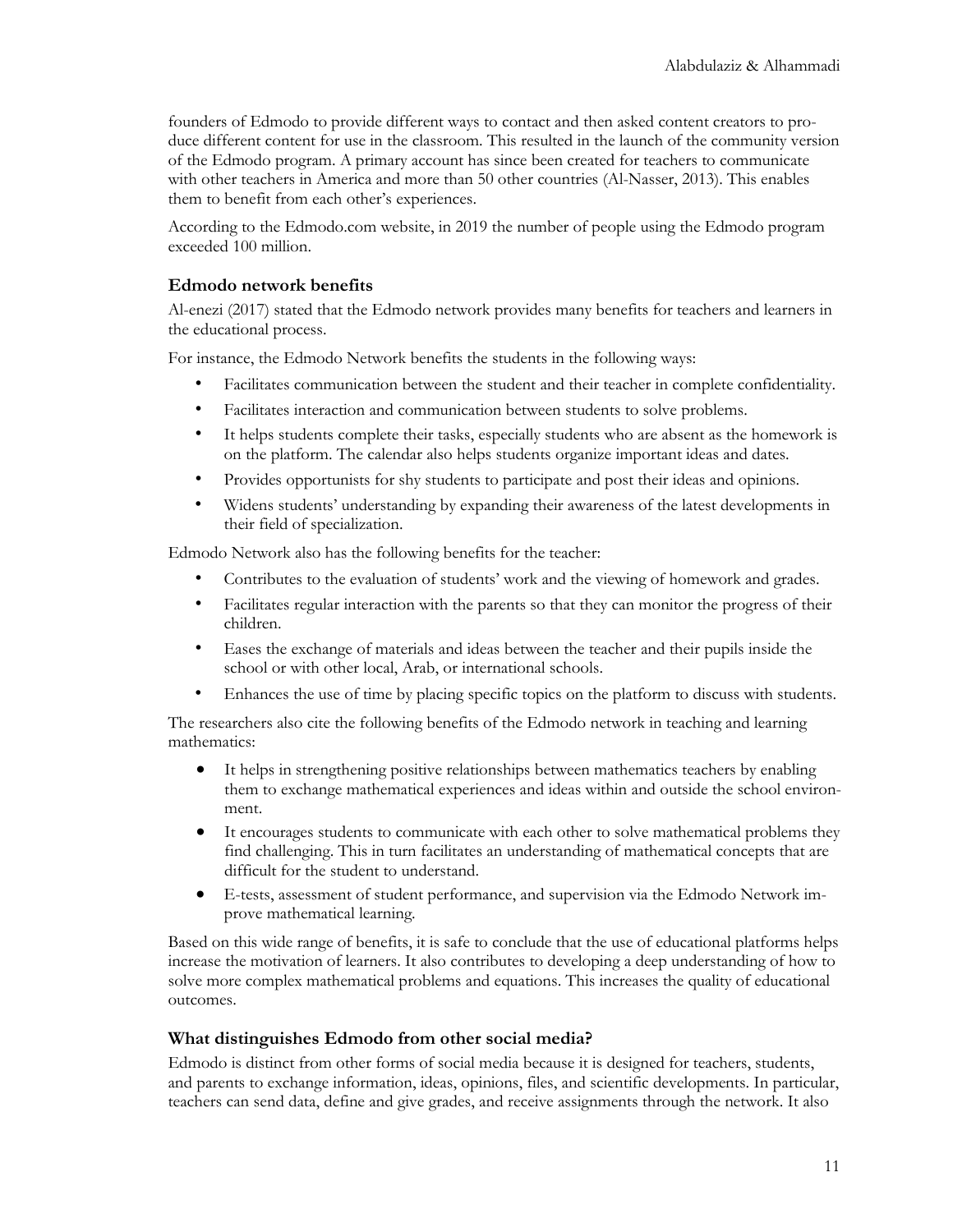founders of Edmodo to provide different ways to contact and then asked content creators to produce different content for use in the classroom. This resulted in the launch of the community version of the Edmodo program. A primary account has since been created for teachers to communicate with other teachers in America and more than 50 other countries (Al-Nasser, 2013). This enables them to benefit from each other's experiences.

According to the Edmodo.com website, in 2019 the number of people using the Edmodo program exceeded 100 million.

#### **Edmodo network benefits**

Al-enezi (2017) stated that the Edmodo network provides many benefits for teachers and learners in the educational process.

For instance, the Edmodo Network benefits the students in the following ways:

- Facilitates communication between the student and their teacher in complete confidentiality.
- Facilitates interaction and communication between students to solve problems.
- It helps students complete their tasks, especially students who are absent as the homework is on the platform. The calendar also helps students organize important ideas and dates.
- Provides opportunists for shy students to participate and post their ideas and opinions.
- Widens students' understanding by expanding their awareness of the latest developments in their field of specialization.

Edmodo Network also has the following benefits for the teacher:

- Contributes to the evaluation of students' work and the viewing of homework and grades.
- Facilitates regular interaction with the parents so that they can monitor the progress of their children.
- Eases the exchange of materials and ideas between the teacher and their pupils inside the school or with other local, Arab, or international schools.
- Enhances the use of time by placing specific topics on the platform to discuss with students.

The researchers also cite the following benefits of the Edmodo network in teaching and learning mathematics:

- It helps in strengthening positive relationships between mathematics teachers by enabling them to exchange mathematical experiences and ideas within and outside the school environment.
- It encourages students to communicate with each other to solve mathematical problems they find challenging. This in turn facilitates an understanding of mathematical concepts that are difficult for the student to understand.
- E-tests, assessment of student performance, and supervision via the Edmodo Network improve mathematical learning.

Based on this wide range of benefits, it is safe to conclude that the use of educational platforms helps increase the motivation of learners. It also contributes to developing a deep understanding of how to solve more complex mathematical problems and equations. This increases the quality of educational outcomes.

#### **What distinguishes Edmodo from other social media?**

Edmodo is distinct from other forms of social media because it is designed for teachers, students, and parents to exchange information, ideas, opinions, files, and scientific developments. In particular, teachers can send data, define and give grades, and receive assignments through the network. It also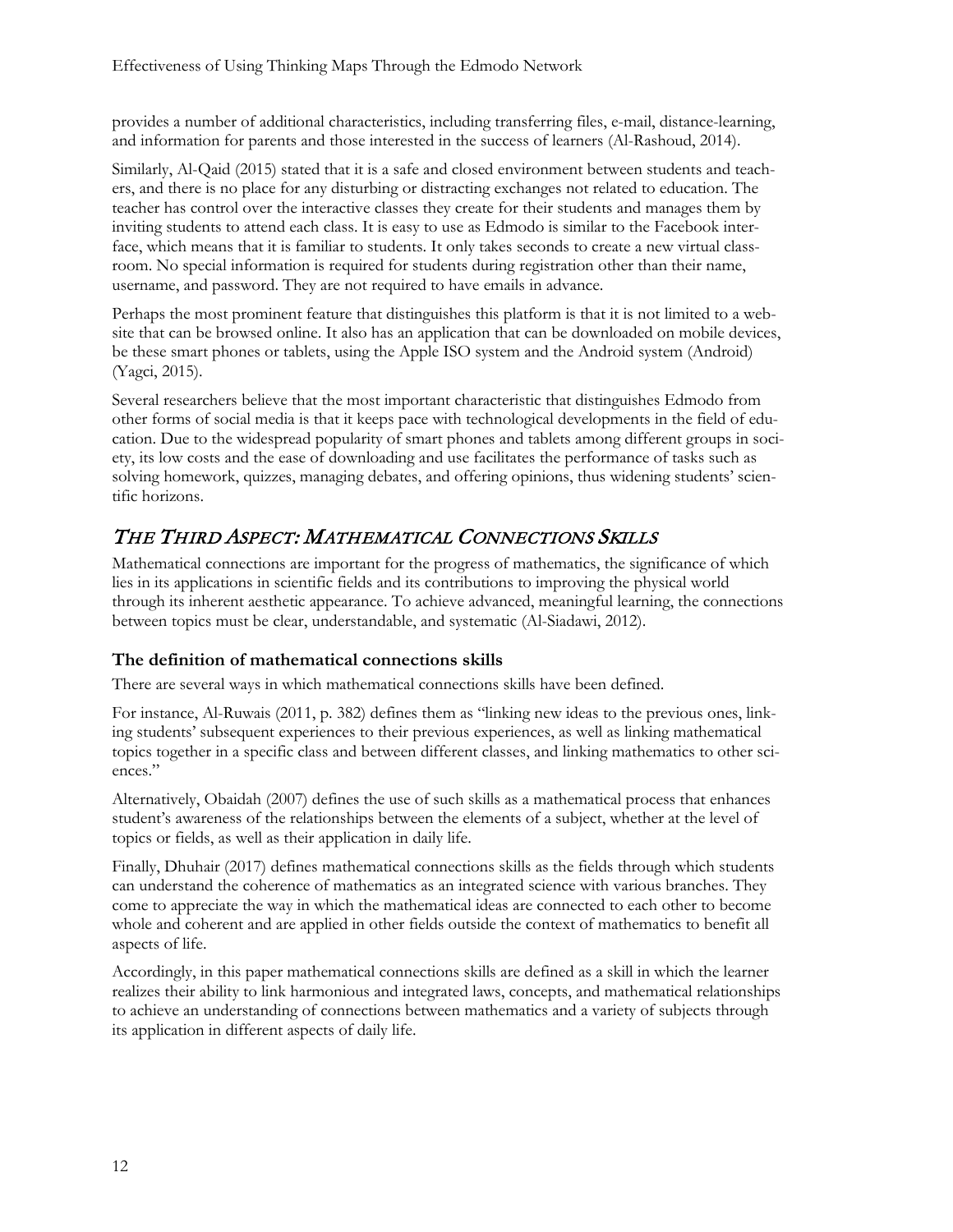provides a number of additional characteristics, including transferring files, e-mail, distance-learning, and information for parents and those interested in the success of learners (Al-Rashoud, 2014).

Similarly, Al-Qaid (2015) stated that it is a safe and closed environment between students and teachers, and there is no place for any disturbing or distracting exchanges not related to education. The teacher has control over the interactive classes they create for their students and manages them by inviting students to attend each class. It is easy to use as Edmodo is similar to the Facebook interface, which means that it is familiar to students. It only takes seconds to create a new virtual classroom. No special information is required for students during registration other than their name, username, and password. They are not required to have emails in advance.

Perhaps the most prominent feature that distinguishes this platform is that it is not limited to a website that can be browsed online. It also has an application that can be downloaded on mobile devices, be these smart phones or tablets, using the Apple ISO system and the Android system (Android) (Yagci, 2015).

Several researchers believe that the most important characteristic that distinguishes Edmodo from other forms of social media is that it keeps pace with technological developments in the field of education. Due to the widespread popularity of smart phones and tablets among different groups in society, its low costs and the ease of downloading and use facilitates the performance of tasks such as solving homework, quizzes, managing debates, and offering opinions, thus widening students' scientific horizons.

## THE THIRD ASPECT: MATHEMATICAL CONNECTIONS SKILLS

Mathematical connections are important for the progress of mathematics, the significance of which lies in its applications in scientific fields and its contributions to improving the physical world through its inherent aesthetic appearance. To achieve advanced, meaningful learning, the connections between topics must be clear, understandable, and systematic (Al-Siadawi, 2012).

#### **The definition of mathematical connections skills**

There are several ways in which mathematical connections skills have been defined.

For instance, Al-Ruwais (2011, p. 382) defines them as "linking new ideas to the previous ones, linking students' subsequent experiences to their previous experiences, as well as linking mathematical topics together in a specific class and between different classes, and linking mathematics to other sciences."

Alternatively, Obaidah (2007) defines the use of such skills as a mathematical process that enhances student's awareness of the relationships between the elements of a subject, whether at the level of topics or fields, as well as their application in daily life.

Finally, Dhuhair (2017) defines mathematical connections skills as the fields through which students can understand the coherence of mathematics as an integrated science with various branches. They come to appreciate the way in which the mathematical ideas are connected to each other to become whole and coherent and are applied in other fields outside the context of mathematics to benefit all aspects of life.

Accordingly, in this paper mathematical connections skills are defined as a skill in which the learner realizes their ability to link harmonious and integrated laws, concepts, and mathematical relationships to achieve an understanding of connections between mathematics and a variety of subjects through its application in different aspects of daily life.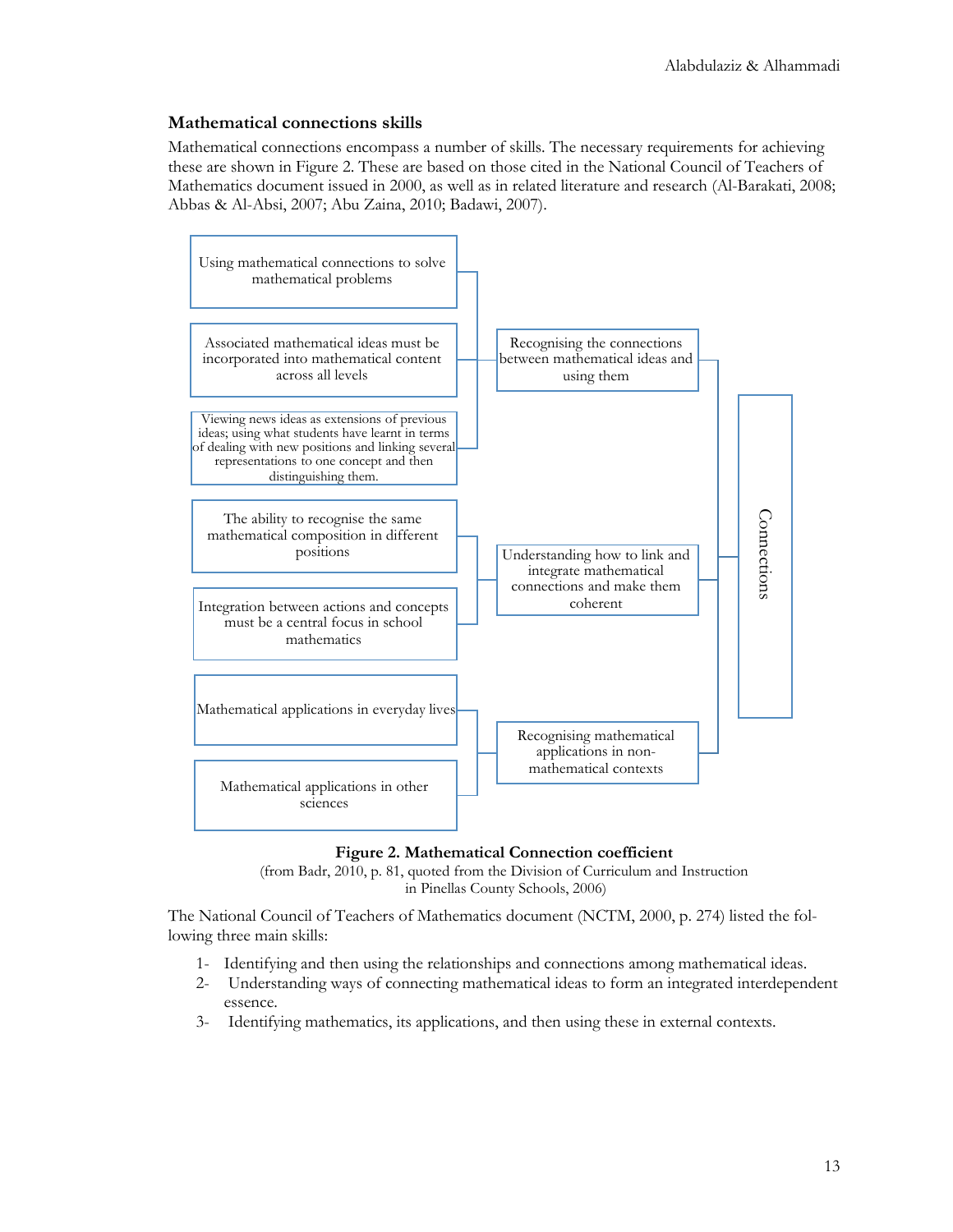#### **Mathematical connections skills**

Mathematical connections encompass a number of skills. The necessary requirements for achieving these are shown in Figure 2. These are based on those cited in the National Council of Teachers of Mathematics document issued in 2000, as well as in related literature and research (Al-Barakati, 2008; Abbas & Al-Absi, 2007; Abu Zaina, 2010; Badawi, 2007).



#### **Figure 2. Mathematical Connection coefficient**

(from Badr, 2010, p. 81, quoted from the Division of Curriculum and Instruction in Pinellas County Schools, 2006)

The National Council of Teachers of Mathematics document (NCTM, 2000, p. 274) listed the following three main skills:

- 1- Identifying and then using the relationships and connections among mathematical ideas.
- 2- Understanding ways of connecting mathematical ideas to form an integrated interdependent essence.
-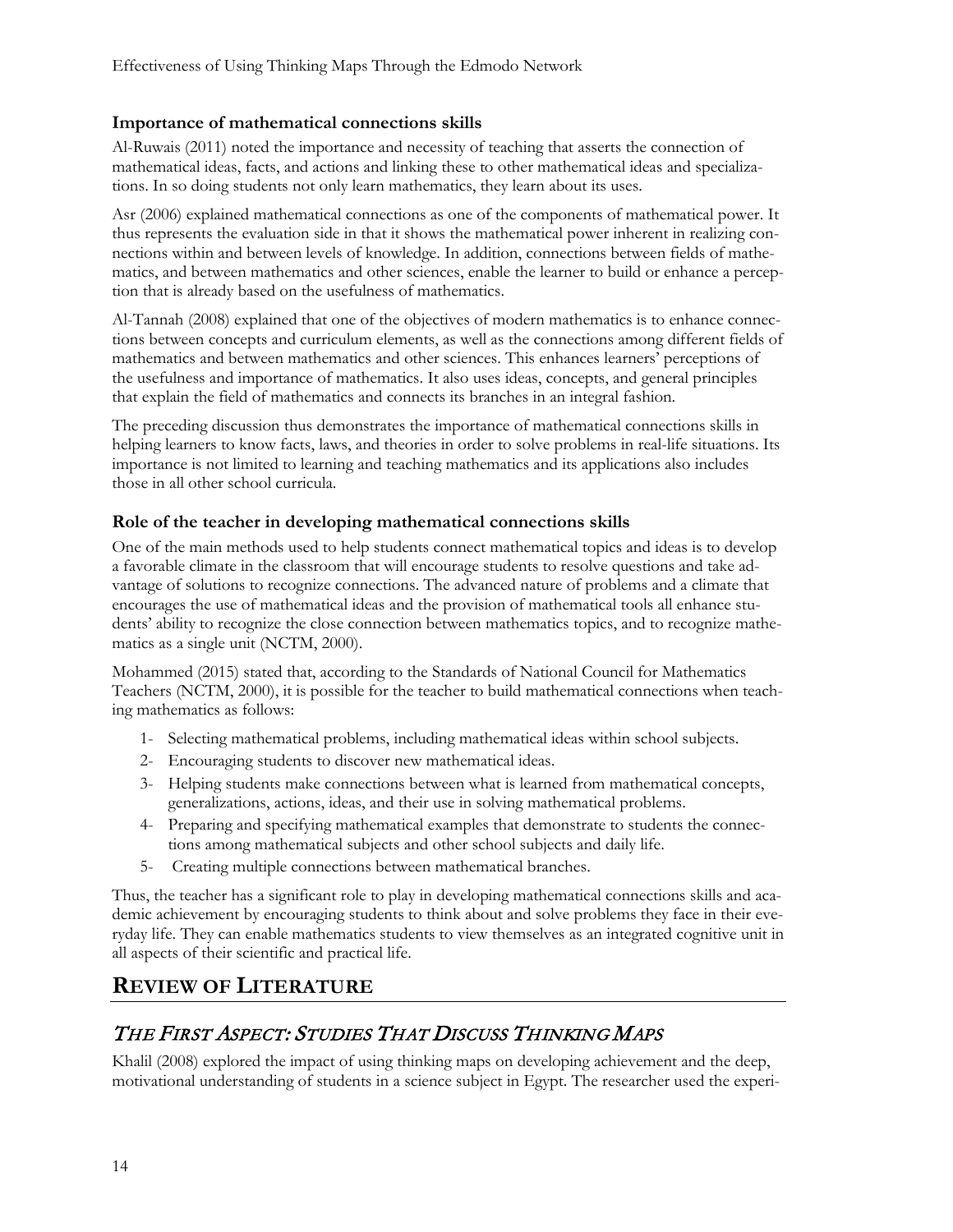#### **Importance of mathematical connections skills**

Al-Ruwais (2011) noted the importance and necessity of teaching that asserts the connection of mathematical ideas, facts, and actions and linking these to other mathematical ideas and specializations. In so doing students not only learn mathematics, they learn about its uses.

Asr (2006) explained mathematical connections as one of the components of mathematical power. It thus represents the evaluation side in that it shows the mathematical power inherent in realizing connections within and between levels of knowledge. In addition, connections between fields of mathematics, and between mathematics and other sciences, enable the learner to build or enhance a perception that is already based on the usefulness of mathematics.

Al-Tannah (2008) explained that one of the objectives of modern mathematics is to enhance connections between concepts and curriculum elements, as well as the connections among different fields of mathematics and between mathematics and other sciences. This enhances learners' perceptions of the usefulness and importance of mathematics. It also uses ideas, concepts, and general principles that explain the field of mathematics and connects its branches in an integral fashion.

The preceding discussion thus demonstrates the importance of mathematical connections skills in helping learners to know facts, laws, and theories in order to solve problems in real-life situations. Its importance is not limited to learning and teaching mathematics and its applications also includes those in all other school curricula.

#### **Role of the teacher in developing mathematical connections skills**

One of the main methods used to help students connect mathematical topics and ideas is to develop a favorable climate in the classroom that will encourage students to resolve questions and take advantage of solutions to recognize connections. The advanced nature of problems and a climate that encourages the use of mathematical ideas and the provision of mathematical tools all enhance students' ability to recognize the close connection between mathematics topics, and to recognize mathematics as a single unit (NCTM, 2000).

Mohammed (2015) stated that, according to the Standards of National Council for Mathematics Teachers (NCTM, 2000), it is possible for the teacher to build mathematical connections when teaching mathematics as follows:

- 1- Selecting mathematical problems, including mathematical ideas within school subjects.
- 2- Encouraging students to discover new mathematical ideas.
- 3- Helping students make connections between what is learned from mathematical concepts, generalizations, actions, ideas, and their use in solving mathematical problems.
- 4- Preparing and specifying mathematical examples that demonstrate to students the connections among mathematical subjects and other school subjects and daily life.
- 5- Creating multiple connections between mathematical branches.

Thus, the teacher has a significant role to play in developing mathematical connections skills and academic achievement by encouraging students to think about and solve problems they face in their everyday life. They can enable mathematics students to view themselves as an integrated cognitive unit in all aspects of their scientific and practical life.

## **REVIEW OF LITERATURE**

## THE FIRST ASPECT: STUDIES THAT DISCUSS THINKING MAPS

Khalil (2008) explored the impact of using thinking maps on developing achievement and the deep, motivational understanding of students in a science subject in Egypt. The researcher used the experi-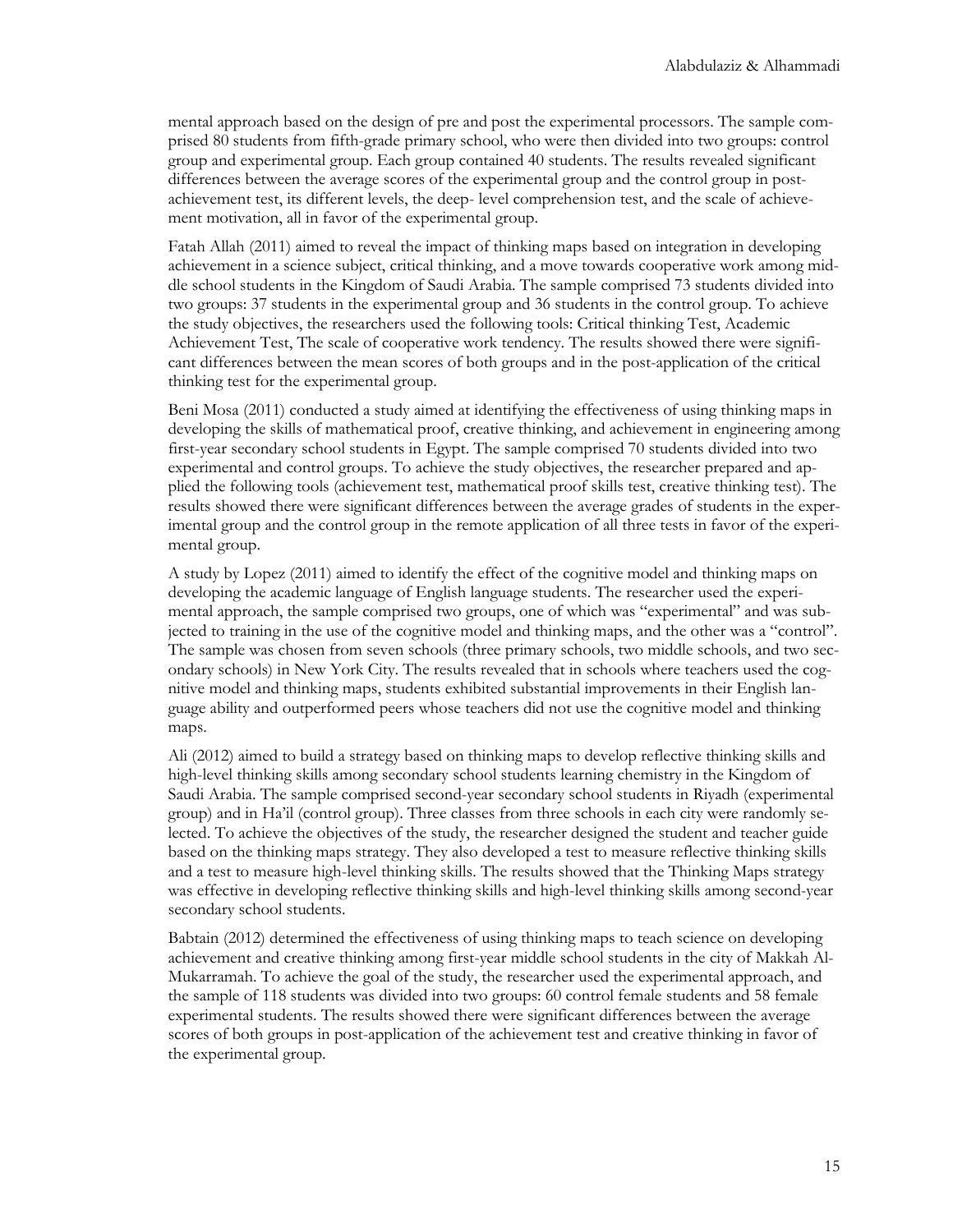mental approach based on the design of pre and post the experimental processors. The sample comprised 80 students from fifth-grade primary school, who were then divided into two groups: control group and experimental group. Each group contained 40 students. The results revealed significant differences between the average scores of the experimental group and the control group in postachievement test, its different levels, the deep- level comprehension test, and the scale of achievement motivation, all in favor of the experimental group.

Fatah Allah (2011) aimed to reveal the impact of thinking maps based on integration in developing achievement in a science subject, critical thinking, and a move towards cooperative work among middle school students in the Kingdom of Saudi Arabia. The sample comprised 73 students divided into two groups: 37 students in the experimental group and 36 students in the control group. To achieve the study objectives, the researchers used the following tools: Critical thinking Test, Academic Achievement Test, The scale of cooperative work tendency. The results showed there were significant differences between the mean scores of both groups and in the post-application of the critical thinking test for the experimental group.

Beni Mosa (2011) conducted a study aimed at identifying the effectiveness of using thinking maps in developing the skills of mathematical proof, creative thinking, and achievement in engineering among first-year secondary school students in Egypt. The sample comprised 70 students divided into two experimental and control groups. To achieve the study objectives, the researcher prepared and applied the following tools (achievement test, mathematical proof skills test, creative thinking test). The results showed there were significant differences between the average grades of students in the experimental group and the control group in the remote application of all three tests in favor of the experimental group.

A study by Lopez (2011) aimed to identify the effect of the cognitive model and thinking maps on developing the academic language of English language students. The researcher used the experimental approach, the sample comprised two groups, one of which was "experimental" and was subjected to training in the use of the cognitive model and thinking maps, and the other was a "control". The sample was chosen from seven schools (three primary schools, two middle schools, and two secondary schools) in New York City. The results revealed that in schools where teachers used the cognitive model and thinking maps, students exhibited substantial improvements in their English language ability and outperformed peers whose teachers did not use the cognitive model and thinking maps.

Ali (2012) aimed to build a strategy based on thinking maps to develop reflective thinking skills and high-level thinking skills among secondary school students learning chemistry in the Kingdom of Saudi Arabia. The sample comprised second-year secondary school students in Riyadh (experimental group) and in Ha'il (control group). Three classes from three schools in each city were randomly selected. To achieve the objectives of the study, the researcher designed the student and teacher guide based on the thinking maps strategy. They also developed a test to measure reflective thinking skills and a test to measure high-level thinking skills. The results showed that the Thinking Maps strategy was effective in developing reflective thinking skills and high-level thinking skills among second-year secondary school students.

Babtain (2012) determined the effectiveness of using thinking maps to teach science on developing achievement and creative thinking among first-year middle school students in the city of Makkah Al-Mukarramah. To achieve the goal of the study, the researcher used the experimental approach, and the sample of 118 students was divided into two groups: 60 control female students and 58 female experimental students. The results showed there were significant differences between the average scores of both groups in post-application of the achievement test and creative thinking in favor of the experimental group.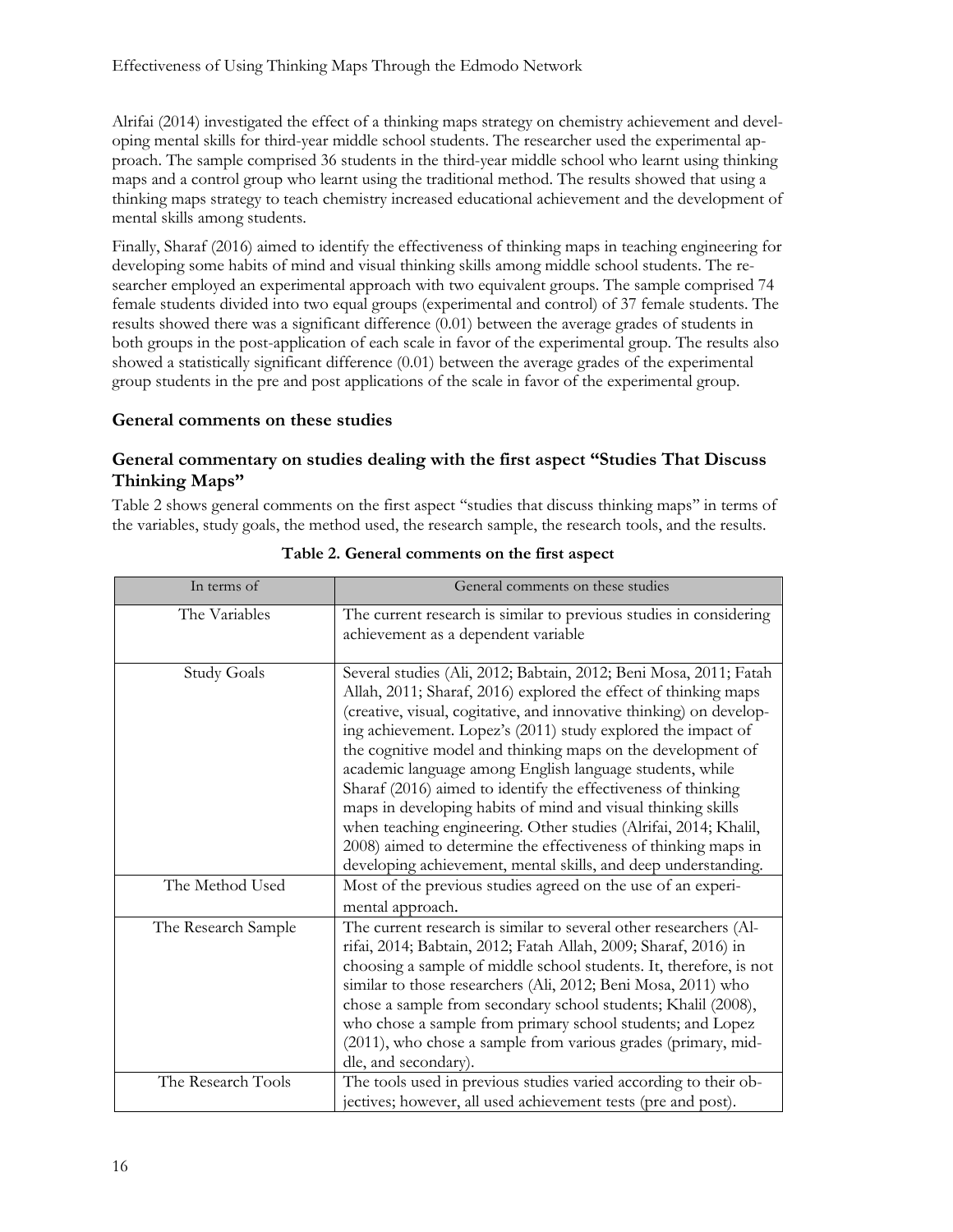Alrifai (2014) investigated the effect of a thinking maps strategy on chemistry achievement and developing mental skills for third-year middle school students. The researcher used the experimental approach. The sample comprised 36 students in the third-year middle school who learnt using thinking maps and a control group who learnt using the traditional method. The results showed that using a thinking maps strategy to teach chemistry increased educational achievement and the development of mental skills among students.

Finally, Sharaf (2016) aimed to identify the effectiveness of thinking maps in teaching engineering for developing some habits of mind and visual thinking skills among middle school students. The researcher employed an experimental approach with two equivalent groups. The sample comprised 74 female students divided into two equal groups (experimental and control) of 37 female students. The results showed there was a significant difference (0.01) between the average grades of students in both groups in the post-application of each scale in favor of the experimental group. The results also showed a statistically significant difference (0.01) between the average grades of the experimental group students in the pre and post applications of the scale in favor of the experimental group.

#### **General comments on these studies**

#### **General commentary on studies dealing with the first aspect "Studies That Discuss Thinking Maps"**

Table 2 shows general comments on the first aspect ''studies that discuss thinking maps'' in terms of the variables, study goals, the method used, the research sample, the research tools, and the results.

| In terms of         | General comments on these studies                                                                                                                                                                                                                                                                                                                                                                                                                                                                                                                                                                                                                                                                                                               |
|---------------------|-------------------------------------------------------------------------------------------------------------------------------------------------------------------------------------------------------------------------------------------------------------------------------------------------------------------------------------------------------------------------------------------------------------------------------------------------------------------------------------------------------------------------------------------------------------------------------------------------------------------------------------------------------------------------------------------------------------------------------------------------|
| The Variables       | The current research is similar to previous studies in considering<br>achievement as a dependent variable                                                                                                                                                                                                                                                                                                                                                                                                                                                                                                                                                                                                                                       |
| <b>Study Goals</b>  | Several studies (Ali, 2012; Babtain, 2012; Beni Mosa, 2011; Fatah<br>Allah, 2011; Sharaf, 2016) explored the effect of thinking maps<br>(creative, visual, cogitative, and innovative thinking) on develop-<br>ing achievement. Lopez's (2011) study explored the impact of<br>the cognitive model and thinking maps on the development of<br>academic language among English language students, while<br>Sharaf (2016) aimed to identify the effectiveness of thinking<br>maps in developing habits of mind and visual thinking skills<br>when teaching engineering. Other studies (Alrifai, 2014; Khalil,<br>2008) aimed to determine the effectiveness of thinking maps in<br>developing achievement, mental skills, and deep understanding. |
| The Method Used     | Most of the previous studies agreed on the use of an experi-<br>mental approach.                                                                                                                                                                                                                                                                                                                                                                                                                                                                                                                                                                                                                                                                |
| The Research Sample | The current research is similar to several other researchers (Al-<br>rifai, 2014; Babtain, 2012; Fatah Allah, 2009; Sharaf, 2016) in<br>choosing a sample of middle school students. It, therefore, is not<br>similar to those researchers (Ali, 2012; Beni Mosa, 2011) who<br>chose a sample from secondary school students; Khalil (2008),<br>who chose a sample from primary school students; and Lopez<br>(2011), who chose a sample from various grades (primary, mid-<br>dle, and secondary).                                                                                                                                                                                                                                             |
| The Research Tools  | The tools used in previous studies varied according to their ob-<br>jectives; however, all used achievement tests (pre and post).                                                                                                                                                                                                                                                                                                                                                                                                                                                                                                                                                                                                               |

**Table 2. General comments on the first aspect**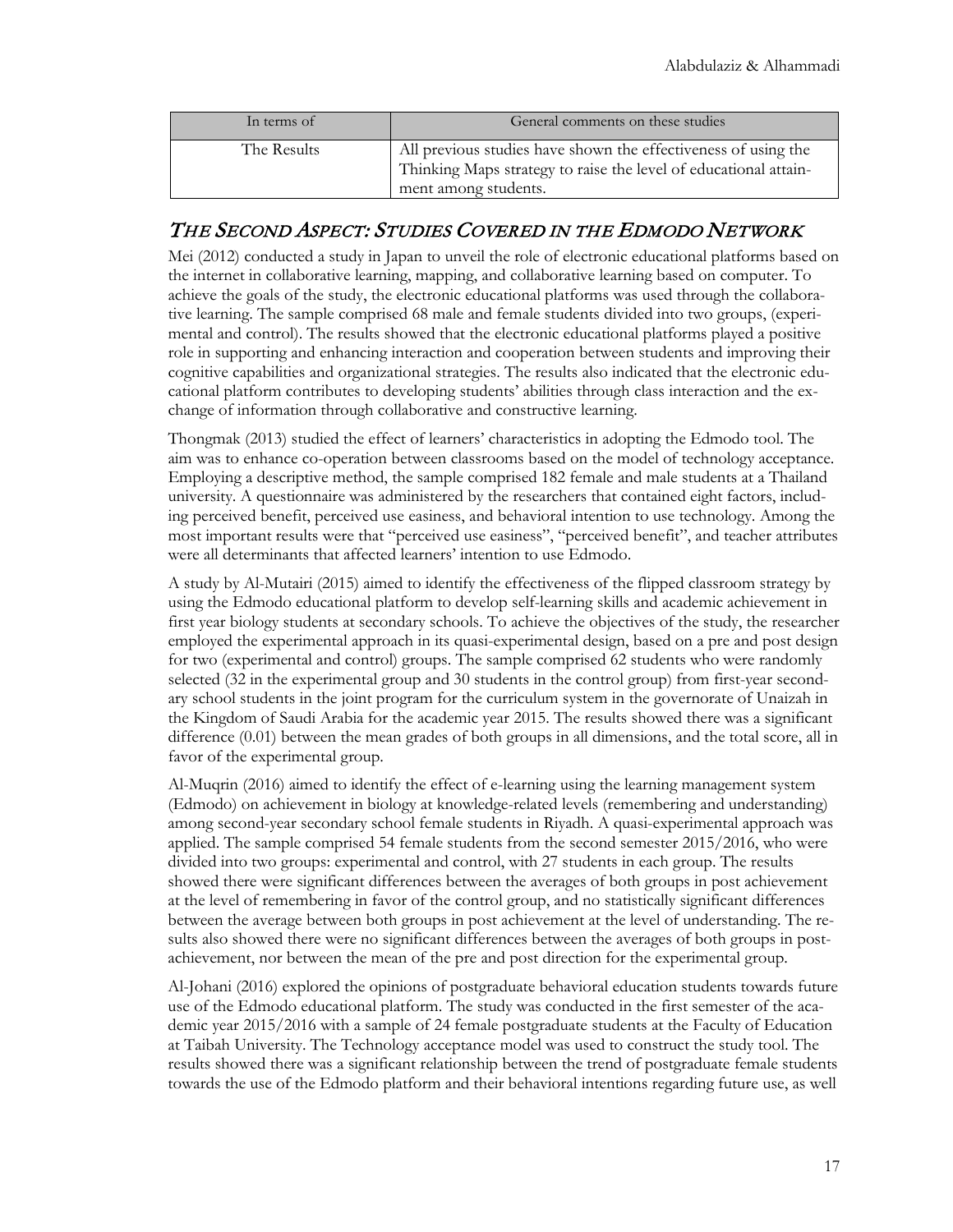| In terms of | General comments on these studies                                                                                                                          |
|-------------|------------------------------------------------------------------------------------------------------------------------------------------------------------|
| The Results | All previous studies have shown the effectiveness of using the<br>Thinking Maps strategy to raise the level of educational attain-<br>ment among students. |

## THE SECOND ASPECT: STUDIES COVERED IN THE EDMODO NETWORK

Mei (2012) conducted a study in Japan to unveil the role of electronic educational platforms based on the internet in collaborative learning, mapping, and collaborative learning based on computer. To achieve the goals of the study, the electronic educational platforms was used through the collaborative learning. The sample comprised 68 male and female students divided into two groups, (experimental and control). The results showed that the electronic educational platforms played a positive role in supporting and enhancing interaction and cooperation between students and improving their cognitive capabilities and organizational strategies. The results also indicated that the electronic educational platform contributes to developing students' abilities through class interaction and the exchange of information through collaborative and constructive learning.

Thongmak (2013) studied the effect of learners' characteristics in adopting the Edmodo tool. The aim was to enhance co-operation between classrooms based on the model of technology acceptance. Employing a descriptive method, the sample comprised 182 female and male students at a Thailand university. A questionnaire was administered by the researchers that contained eight factors, including perceived benefit, perceived use easiness, and behavioral intention to use technology. Among the most important results were that "perceived use easiness", "perceived benefit", and teacher attributes were all determinants that affected learners' intention to use Edmodo.

A study by Al-Mutairi (2015) aimed to identify the effectiveness of the flipped classroom strategy by using the Edmodo educational platform to develop self-learning skills and academic achievement in first year biology students at secondary schools. To achieve the objectives of the study, the researcher employed the experimental approach in its quasi-experimental design, based on a pre and post design for two (experimental and control) groups. The sample comprised 62 students who were randomly selected (32 in the experimental group and 30 students in the control group) from first-year secondary school students in the joint program for the curriculum system in the governorate of Unaizah in the Kingdom of Saudi Arabia for the academic year 2015. The results showed there was a significant difference (0.01) between the mean grades of both groups in all dimensions, and the total score, all in favor of the experimental group.

Al-Muqrin (2016) aimed to identify the effect of e-learning using the learning management system (Edmodo) on achievement in biology at knowledge-related levels (remembering and understanding) among second-year secondary school female students in Riyadh. A quasi-experimental approach was applied. The sample comprised 54 female students from the second semester 2015/2016, who were divided into two groups: experimental and control, with 27 students in each group. The results showed there were significant differences between the averages of both groups in post achievement at the level of remembering in favor of the control group, and no statistically significant differences between the average between both groups in post achievement at the level of understanding. The results also showed there were no significant differences between the averages of both groups in postachievement, nor between the mean of the pre and post direction for the experimental group.

Al-Johani (2016) explored the opinions of postgraduate behavioral education students towards future use of the Edmodo educational platform. The study was conducted in the first semester of the academic year 2015/2016 with a sample of 24 female postgraduate students at the Faculty of Education at Taibah University. The Technology acceptance model was used to construct the study tool. The results showed there was a significant relationship between the trend of postgraduate female students towards the use of the Edmodo platform and their behavioral intentions regarding future use, as well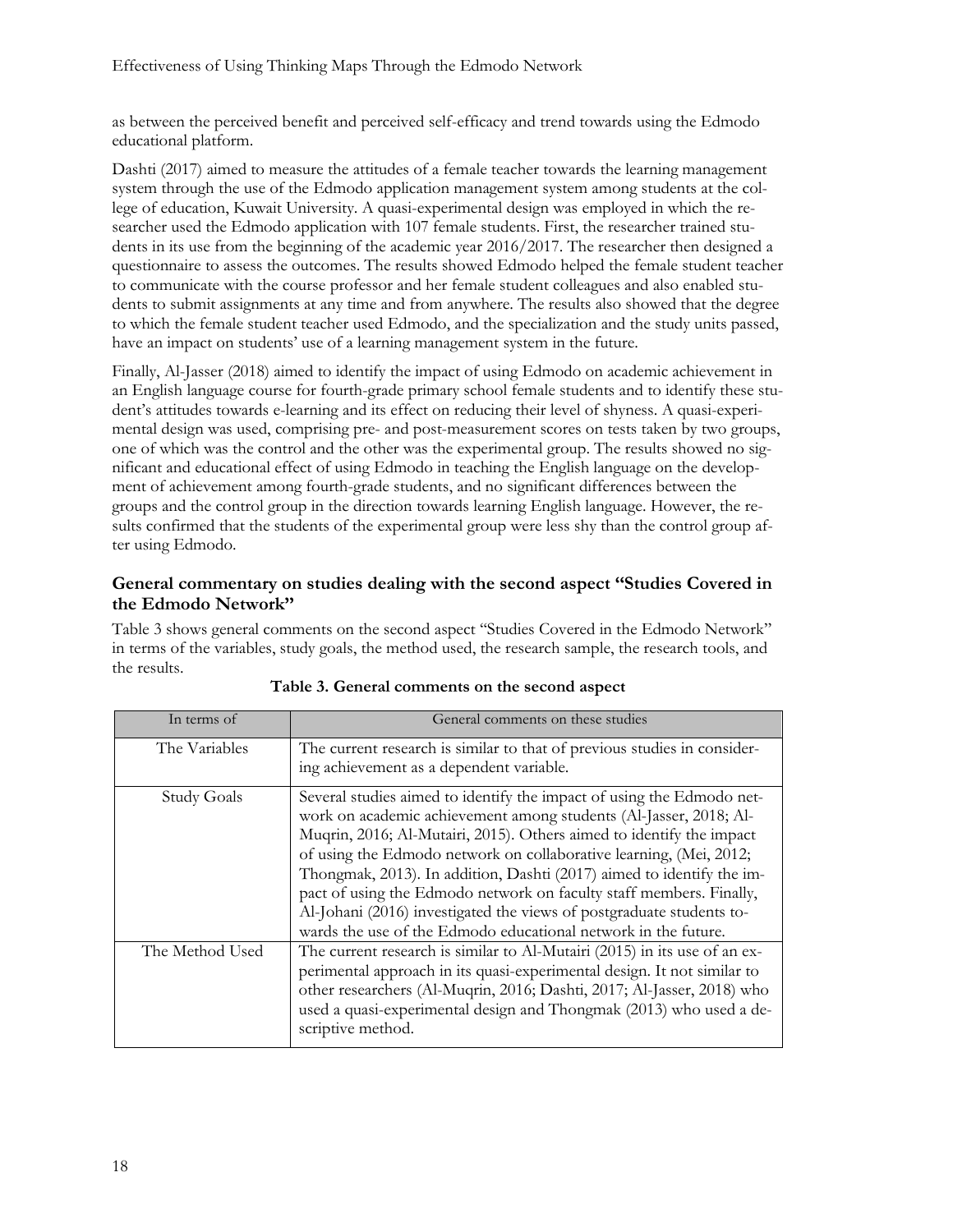as between the perceived benefit and perceived self-efficacy and trend towards using the Edmodo educational platform.

Dashti (2017) aimed to measure the attitudes of a female teacher towards the learning management system through the use of the Edmodo application management system among students at the college of education, Kuwait University. A quasi-experimental design was employed in which the researcher used the Edmodo application with 107 female students. First, the researcher trained students in its use from the beginning of the academic year 2016/2017. The researcher then designed a questionnaire to assess the outcomes. The results showed Edmodo helped the female student teacher to communicate with the course professor and her female student colleagues and also enabled students to submit assignments at any time and from anywhere. The results also showed that the degree to which the female student teacher used Edmodo, and the specialization and the study units passed, have an impact on students' use of a learning management system in the future.

Finally, Al-Jasser (2018) aimed to identify the impact of using Edmodo on academic achievement in an English language course for fourth-grade primary school female students and to identify these student's attitudes towards e-learning and its effect on reducing their level of shyness. A quasi-experimental design was used, comprising pre- and post-measurement scores on tests taken by two groups, one of which was the control and the other was the experimental group. The results showed no significant and educational effect of using Edmodo in teaching the English language on the development of achievement among fourth-grade students, and no significant differences between the groups and the control group in the direction towards learning English language. However, the results confirmed that the students of the experimental group were less shy than the control group after using Edmodo.

#### **General commentary on studies dealing with the second aspect ''Studies Covered in the Edmodo Network''**

Table 3 shows general comments on the second aspect ''Studies Covered in the Edmodo Network'' in terms of the variables, study goals, the method used, the research sample, the research tools, and the results.

| In terms of        | General comments on these studies                                                                                                                                                                                                                                                                                                                                                                                                                                                                                                                                                  |
|--------------------|------------------------------------------------------------------------------------------------------------------------------------------------------------------------------------------------------------------------------------------------------------------------------------------------------------------------------------------------------------------------------------------------------------------------------------------------------------------------------------------------------------------------------------------------------------------------------------|
| The Variables      | The current research is similar to that of previous studies in consider-<br>ing achievement as a dependent variable.                                                                                                                                                                                                                                                                                                                                                                                                                                                               |
| <b>Study Goals</b> | Several studies aimed to identify the impact of using the Edmodo net-<br>work on academic achievement among students (Al-Jasser, 2018; Al-<br>Muqrin, 2016; Al-Mutairi, 2015). Others aimed to identify the impact<br>of using the Edmodo network on collaborative learning, (Mei, 2012;<br>Thongmak, 2013). In addition, Dashti (2017) aimed to identify the im-<br>pact of using the Edmodo network on faculty staff members. Finally,<br>Al-Johani (2016) investigated the views of postgraduate students to-<br>wards the use of the Edmodo educational network in the future. |
| The Method Used    | The current research is similar to Al-Mutairi (2015) in its use of an ex-<br>perimental approach in its quasi-experimental design. It not similar to<br>other researchers (Al-Muqrin, 2016; Dashti, 2017; Al-Jasser, 2018) who<br>used a quasi-experimental design and Thongmak (2013) who used a de-<br>scriptive method.                                                                                                                                                                                                                                                         |

| Table 3. General comments on the second aspect |  |  |  |
|------------------------------------------------|--|--|--|
|------------------------------------------------|--|--|--|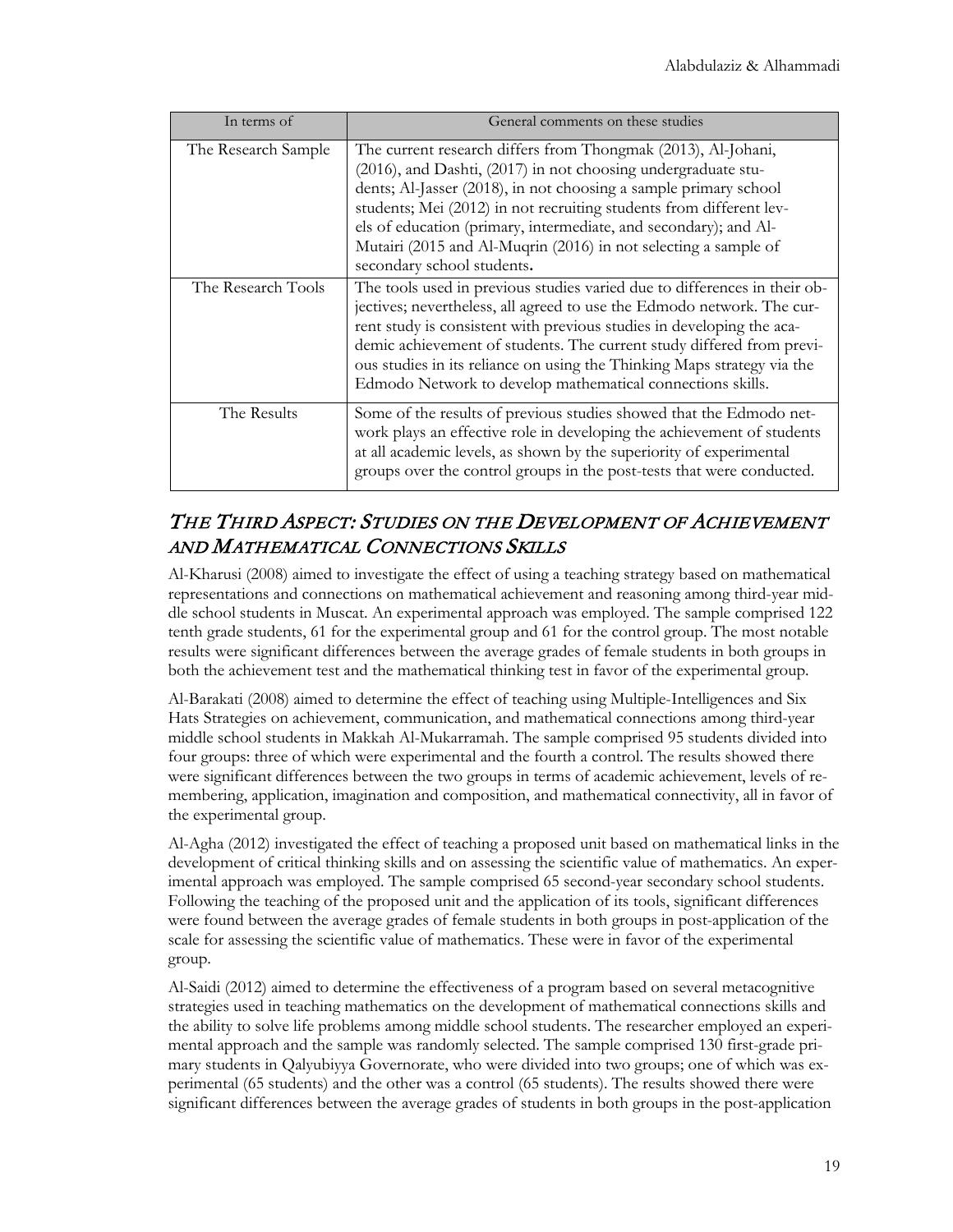| In terms of         | General comments on these studies                                                                                                                                                                                                                                                                                                                                                                                                              |
|---------------------|------------------------------------------------------------------------------------------------------------------------------------------------------------------------------------------------------------------------------------------------------------------------------------------------------------------------------------------------------------------------------------------------------------------------------------------------|
| The Research Sample | The current research differs from Thongmak (2013), Al-Johani,<br>(2016), and Dashti, (2017) in not choosing undergraduate stu-<br>dents; Al-Jasser (2018), in not choosing a sample primary school<br>students; Mei (2012) in not recruiting students from different lev-<br>els of education (primary, intermediate, and secondary); and Al-<br>Mutairi (2015 and Al-Muqrin (2016) in not selecting a sample of<br>secondary school students. |
| The Research Tools  | The tools used in previous studies varied due to differences in their ob-<br>jectives; nevertheless, all agreed to use the Edmodo network. The cur-<br>rent study is consistent with previous studies in developing the aca-<br>demic achievement of students. The current study differed from previ-<br>ous studies in its reliance on using the Thinking Maps strategy via the<br>Edmodo Network to develop mathematical connections skills. |
| The Results         | Some of the results of previous studies showed that the Edmodo net-<br>work plays an effective role in developing the achievement of students<br>at all academic levels, as shown by the superiority of experimental<br>groups over the control groups in the post-tests that were conducted.                                                                                                                                                  |

## THE THIRD ASPECT: STUDIES ON THE DEVELOPMENT OF ACHIEVEMENT AND MATHEMATICAL CONNECTIONS SKILLS

Al-Kharusi (2008) aimed to investigate the effect of using a teaching strategy based on mathematical representations and connections on mathematical achievement and reasoning among third-year middle school students in Muscat. An experimental approach was employed. The sample comprised 122 tenth grade students, 61 for the experimental group and 61 for the control group. The most notable results were significant differences between the average grades of female students in both groups in both the achievement test and the mathematical thinking test in favor of the experimental group.

Al-Barakati (2008) aimed to determine the effect of teaching using Multiple-Intelligences and Six Hats Strategies on achievement, communication, and mathematical connections among third-year middle school students in Makkah Al-Mukarramah. The sample comprised 95 students divided into four groups: three of which were experimental and the fourth a control. The results showed there were significant differences between the two groups in terms of academic achievement, levels of remembering, application, imagination and composition, and mathematical connectivity, all in favor of the experimental group.

Al-Agha (2012) investigated the effect of teaching a proposed unit based on mathematical links in the development of critical thinking skills and on assessing the scientific value of mathematics. An experimental approach was employed. The sample comprised 65 second-year secondary school students. Following the teaching of the proposed unit and the application of its tools, significant differences were found between the average grades of female students in both groups in post-application of the scale for assessing the scientific value of mathematics. These were in favor of the experimental group.

Al-Saidi (2012) aimed to determine the effectiveness of a program based on several metacognitive strategies used in teaching mathematics on the development of mathematical connections skills and the ability to solve life problems among middle school students. The researcher employed an experimental approach and the sample was randomly selected. The sample comprised 130 first-grade primary students in Qalyubiyya Governorate, who were divided into two groups; one of which was experimental (65 students) and the other was a control (65 students). The results showed there were significant differences between the average grades of students in both groups in the post-application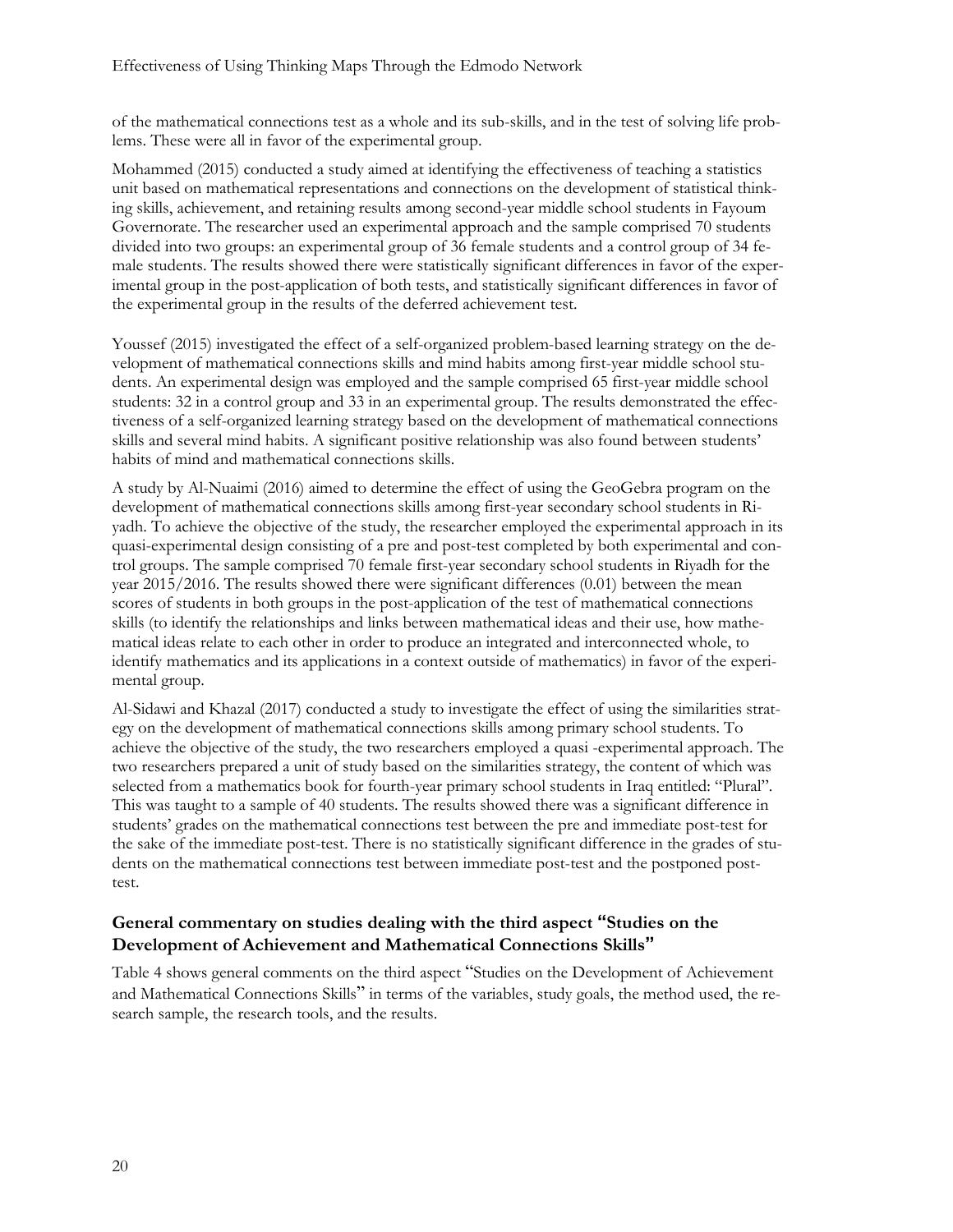of the mathematical connections test as a whole and its sub-skills, and in the test of solving life problems. These were all in favor of the experimental group.

Mohammed (2015) conducted a study aimed at identifying the effectiveness of teaching a statistics unit based on mathematical representations and connections on the development of statistical thinking skills, achievement, and retaining results among second-year middle school students in Fayoum Governorate. The researcher used an experimental approach and the sample comprised 70 students divided into two groups: an experimental group of 36 female students and a control group of 34 female students. The results showed there were statistically significant differences in favor of the experimental group in the post-application of both tests, and statistically significant differences in favor of the experimental group in the results of the deferred achievement test.

Youssef (2015) investigated the effect of a self-organized problem-based learning strategy on the development of mathematical connections skills and mind habits among first-year middle school students. An experimental design was employed and the sample comprised 65 first-year middle school students: 32 in a control group and 33 in an experimental group. The results demonstrated the effectiveness of a self-organized learning strategy based on the development of mathematical connections skills and several mind habits. A significant positive relationship was also found between students' habits of mind and mathematical connections skills.

A study by Al-Nuaimi (2016) aimed to determine the effect of using the GeoGebra program on the development of mathematical connections skills among first-year secondary school students in Riyadh. To achieve the objective of the study, the researcher employed the experimental approach in its quasi-experimental design consisting of a pre and post-test completed by both experimental and control groups. The sample comprised 70 female first-year secondary school students in Riyadh for the year 2015/2016. The results showed there were significant differences (0.01) between the mean scores of students in both groups in the post-application of the test of mathematical connections skills (to identify the relationships and links between mathematical ideas and their use, how mathematical ideas relate to each other in order to produce an integrated and interconnected whole, to identify mathematics and its applications in a context outside of mathematics) in favor of the experimental group.

Al-Sidawi and Khazal (2017) conducted a study to investigate the effect of using the similarities strategy on the development of mathematical connections skills among primary school students. To achieve the objective of the study, the two researchers employed a quasi -experimental approach. The two researchers prepared a unit of study based on the similarities strategy, the content of which was selected from a mathematics book for fourth-year primary school students in Iraq entitled: "Plural". This was taught to a sample of 40 students. The results showed there was a significant difference in students' grades on the mathematical connections test between the pre and immediate post-test for the sake of the immediate post-test. There is no statistically significant difference in the grades of students on the mathematical connections test between immediate post-test and the postponed posttest.

#### **General commentary on studies dealing with the third aspect "Studies on the Development of Achievement and Mathematical Connections Skills"**

Table 4 shows general comments on the third aspect "Studies on the Development of Achievement and Mathematical Connections Skills" in terms of the variables, study goals, the method used, the research sample, the research tools, and the results.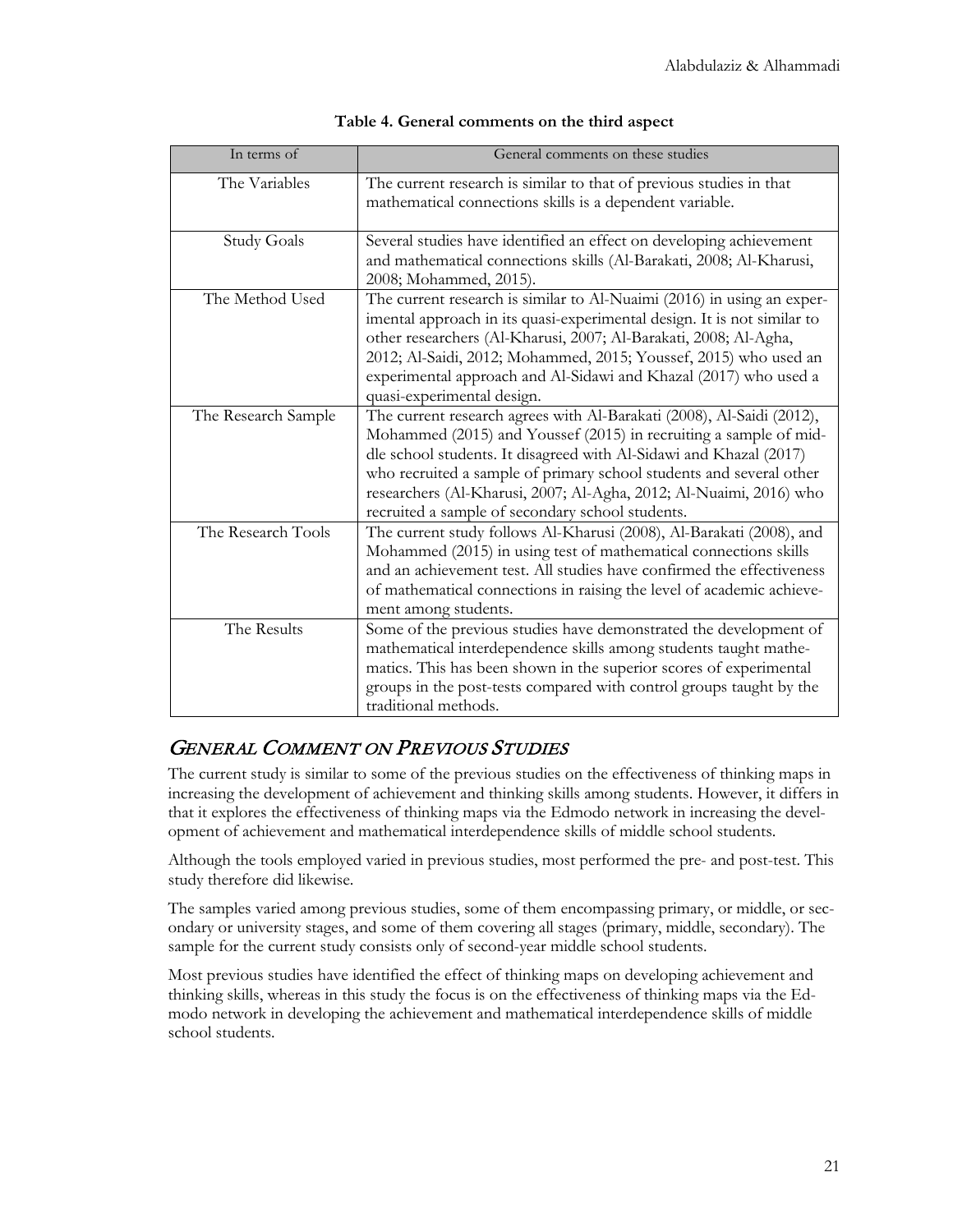| In terms of         | General comments on these studies                                                                                                                                                                                                                                                                                                                                                                                 |
|---------------------|-------------------------------------------------------------------------------------------------------------------------------------------------------------------------------------------------------------------------------------------------------------------------------------------------------------------------------------------------------------------------------------------------------------------|
| The Variables       | The current research is similar to that of previous studies in that<br>mathematical connections skills is a dependent variable.                                                                                                                                                                                                                                                                                   |
| <b>Study Goals</b>  | Several studies have identified an effect on developing achievement<br>and mathematical connections skills (Al-Barakati, 2008; Al-Kharusi,<br>2008; Mohammed, 2015).                                                                                                                                                                                                                                              |
| The Method Used     | The current research is similar to Al-Nuaimi (2016) in using an exper-<br>imental approach in its quasi-experimental design. It is not similar to<br>other researchers (Al-Kharusi, 2007; Al-Barakati, 2008; Al-Agha,<br>2012; Al-Saidi, 2012; Mohammed, 2015; Youssef, 2015) who used an<br>experimental approach and Al-Sidawi and Khazal (2017) who used a<br>quasi-experimental design.                       |
| The Research Sample | The current research agrees with Al-Barakati (2008), Al-Saidi (2012),<br>Mohammed (2015) and Youssef (2015) in recruiting a sample of mid-<br>dle school students. It disagreed with Al-Sidawi and Khazal (2017)<br>who recruited a sample of primary school students and several other<br>researchers (Al-Kharusi, 2007; Al-Agha, 2012; Al-Nuaimi, 2016) who<br>recruited a sample of secondary school students. |
| The Research Tools  | The current study follows Al-Kharusi (2008), Al-Barakati (2008), and<br>Mohammed (2015) in using test of mathematical connections skills<br>and an achievement test. All studies have confirmed the effectiveness<br>of mathematical connections in raising the level of academic achieve-<br>ment among students.                                                                                                |
| The Results         | Some of the previous studies have demonstrated the development of<br>mathematical interdependence skills among students taught mathe-<br>matics. This has been shown in the superior scores of experimental<br>groups in the post-tests compared with control groups taught by the<br>traditional methods.                                                                                                        |

### GENERAL COMMENT ON PREVIOUS STUDIES

The current study is similar to some of the previous studies on the effectiveness of thinking maps in increasing the development of achievement and thinking skills among students. However, it differs in that it explores the effectiveness of thinking maps via the Edmodo network in increasing the development of achievement and mathematical interdependence skills of middle school students.

Although the tools employed varied in previous studies, most performed the pre- and post-test. This study therefore did likewise.

The samples varied among previous studies, some of them encompassing primary, or middle, or secondary or university stages, and some of them covering all stages (primary, middle, secondary). The sample for the current study consists only of second-year middle school students.

Most previous studies have identified the effect of thinking maps on developing achievement and thinking skills, whereas in this study the focus is on the effectiveness of thinking maps via the Edmodo network in developing the achievement and mathematical interdependence skills of middle school students.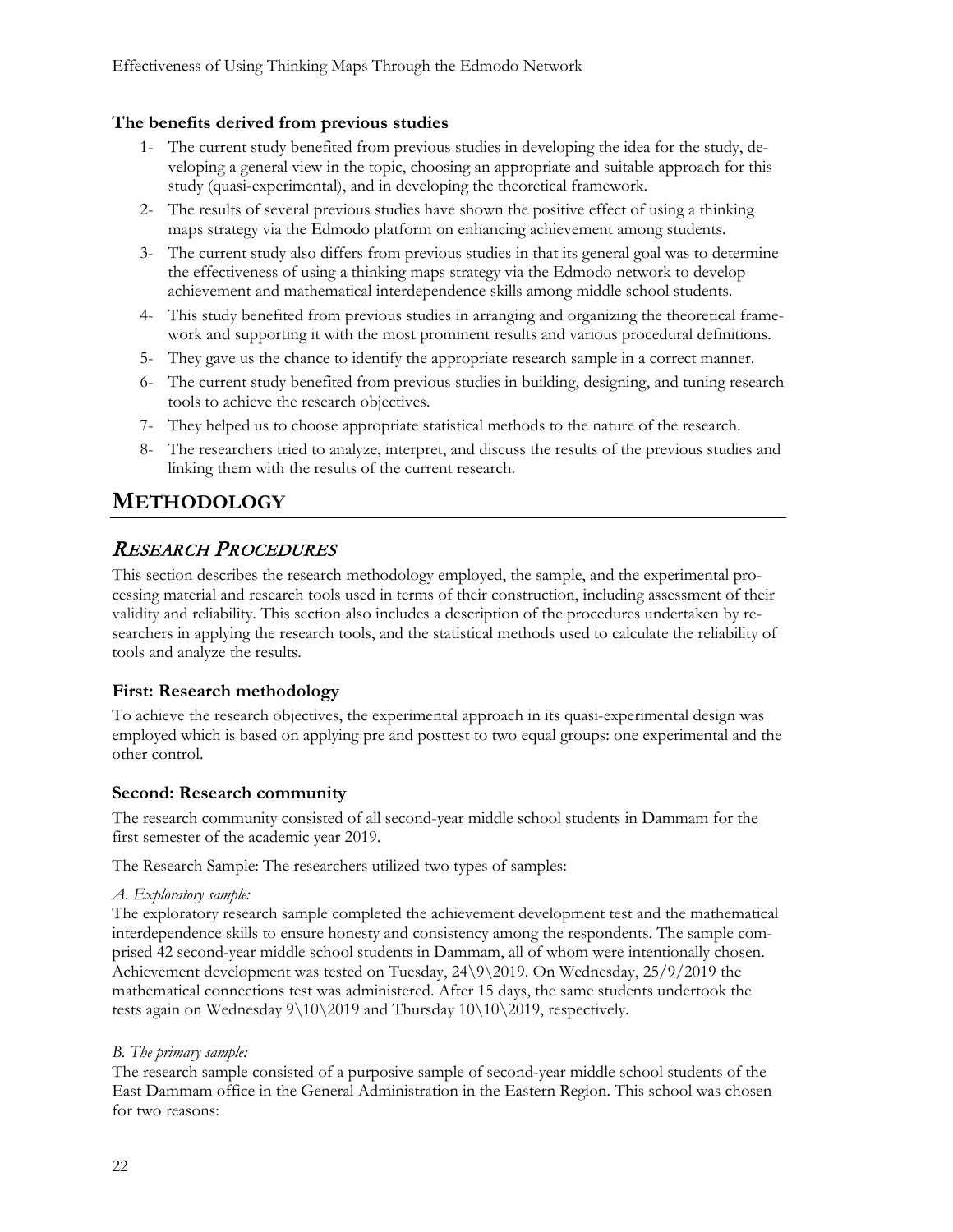#### **The benefits derived from previous studies**

- 1- The current study benefited from previous studies in developing the idea for the study, developing a general view in the topic, choosing an appropriate and suitable approach for this study (quasi-experimental), and in developing the theoretical framework.
- 2- The results of several previous studies have shown the positive effect of using a thinking maps strategy via the Edmodo platform on enhancing achievement among students.
- 3- The current study also differs from previous studies in that its general goal was to determine the effectiveness of using a thinking maps strategy via the Edmodo network to develop achievement and mathematical interdependence skills among middle school students.
- 4- This study benefited from previous studies in arranging and organizing the theoretical framework and supporting it with the most prominent results and various procedural definitions.
- 5- They gave us the chance to identify the appropriate research sample in a correct manner.
- 6- The current study benefited from previous studies in building, designing, and tuning research tools to achieve the research objectives.
- 7- They helped us to choose appropriate statistical methods to the nature of the research.
- 8- The researchers tried to analyze, interpret, and discuss the results of the previous studies and linking them with the results of the current research.

## **METHODOLOGY**

### RESEARCH PROCEDURES

This section describes the research methodology employed, the sample, and the experimental processing material and research tools used in terms of their construction, including assessment of their validity and reliability. This section also includes a description of the procedures undertaken by researchers in applying the research tools, and the statistical methods used to calculate the reliability of tools and analyze the results.

#### **First: Research methodology**

To achieve the research objectives, the experimental approach in its quasi-experimental design was employed which is based on applying pre and posttest to two equal groups: one experimental and the other control.

#### **Second: Research community**

The research community consisted of all second-year middle school students in Dammam for the first semester of the academic year 2019.

The Research Sample: The researchers utilized two types of samples:

#### *A. Exploratory sample:*

The exploratory research sample completed the achievement development test and the mathematical interdependence skills to ensure honesty and consistency among the respondents. The sample comprised 42 second-year middle school students in Dammam, all of whom were intentionally chosen. Achievement development was tested on Tuesday, 24\9\2019. On Wednesday, 25/9/2019 the mathematical connections test was administered. After 15 days, the same students undertook the tests again on Wednesday  $9\10\2019$  and Thursday  $10\10\2019$ , respectively.

#### *B. The primary sample:*

The research sample consisted of a purposive sample of second-year middle school students of the East Dammam office in the General Administration in the Eastern Region. This school was chosen for two reasons: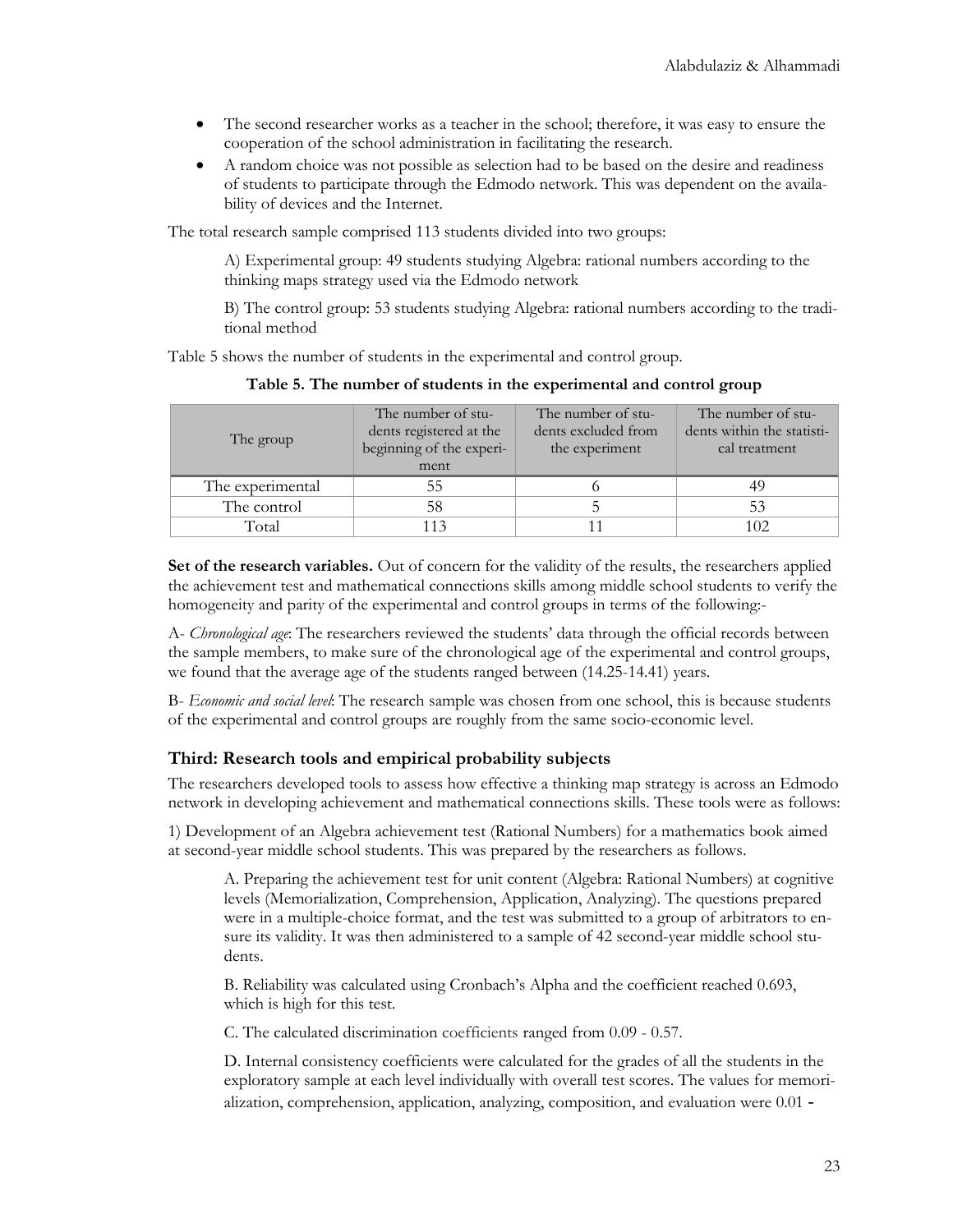- The second researcher works as a teacher in the school; therefore, it was easy to ensure the cooperation of the school administration in facilitating the research.
- A random choice was not possible as selection had to be based on the desire and readiness of students to participate through the Edmodo network. This was dependent on the availability of devices and the Internet.

The total research sample comprised 113 students divided into two groups:

A) Experimental group: 49 students studying Algebra: rational numbers according to the thinking maps strategy used via the Edmodo network

B) The control group: 53 students studying Algebra: rational numbers according to the traditional method

Table 5 shows the number of students in the experimental and control group.

| The group        | The number of stu-<br>dents registered at the<br>beginning of the experi-<br>ment | The number of stu-<br>dents excluded from<br>the experiment | The number of stu-<br>dents within the statisti-<br>cal treatment |
|------------------|-----------------------------------------------------------------------------------|-------------------------------------------------------------|-------------------------------------------------------------------|
| The experimental | 55                                                                                |                                                             | 49                                                                |
| The control      | 58                                                                                |                                                             | 53                                                                |
| Total            | 113                                                                               |                                                             |                                                                   |

**Table 5. The number of students in the experimental and control group**

**Set of the research variables.** Out of concern for the validity of the results, the researchers applied the achievement test and mathematical connections skills among middle school students to verify the homogeneity and parity of the experimental and control groups in terms of the following:-

A- *Chronological age*: The researchers reviewed the students' data through the official records between the sample members, to make sure of the chronological age of the experimental and control groups, we found that the average age of the students ranged between (14.25-14.41) years.

B- *Economic and social level*: The research sample was chosen from one school, this is because students of the experimental and control groups are roughly from the same socio-economic level.

#### **Third: Research tools and empirical probability subjects**

The researchers developed tools to assess how effective a thinking map strategy is across an Edmodo network in developing achievement and mathematical connections skills. These tools were as follows:

1) Development of an Algebra achievement test (Rational Numbers) for a mathematics book aimed at second-year middle school students. This was prepared by the researchers as follows.

A. Preparing the achievement test for unit content (Algebra: Rational Numbers) at cognitive levels (Memorialization, Comprehension, Application, Analyzing). The questions prepared were in a multiple-choice format, and the test was submitted to a group of arbitrators to ensure its validity. It was then administered to a sample of 42 second-year middle school students.

B. Reliability was calculated using Cronbach's Alpha and the coefficient reached 0.693, which is high for this test.

C. The calculated discrimination coefficients ranged from 0.09 - 0.57.

D. Internal consistency coefficients were calculated for the grades of all the students in the exploratory sample at each level individually with overall test scores. The values for memorialization, comprehension, application, analyzing, composition, and evaluation were 0.01 -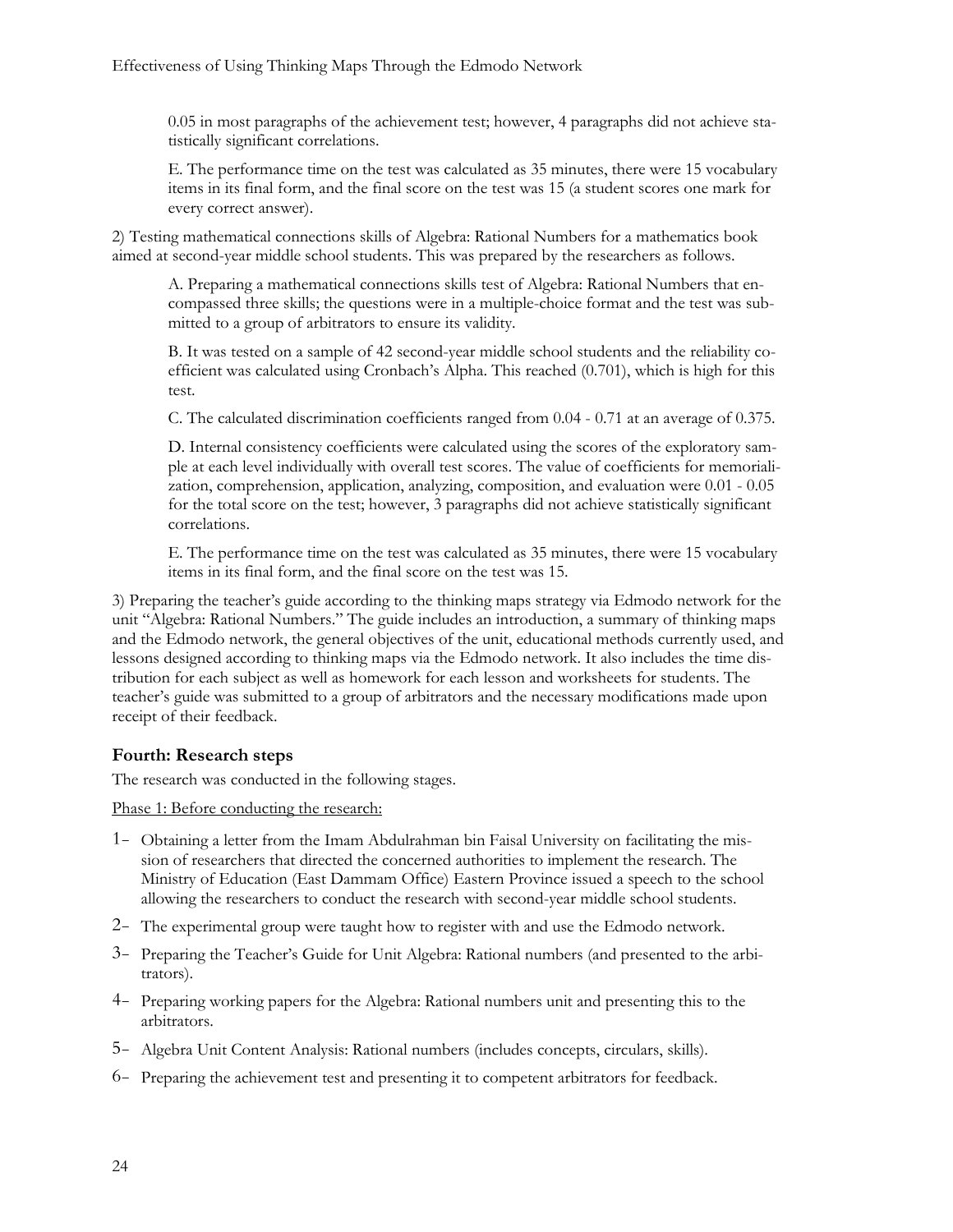0.05 in most paragraphs of the achievement test; however, 4 paragraphs did not achieve statistically significant correlations.

E. The performance time on the test was calculated as 35 minutes, there were 15 vocabulary items in its final form, and the final score on the test was 15 (a student scores one mark for every correct answer).

2) Testing mathematical connections skills of Algebra: Rational Numbers for a mathematics book aimed at second-year middle school students. This was prepared by the researchers as follows.

A. Preparing a mathematical connections skills test of Algebra: Rational Numbers that encompassed three skills; the questions were in a multiple-choice format and the test was submitted to a group of arbitrators to ensure its validity.

B. It was tested on a sample of 42 second-year middle school students and the reliability coefficient was calculated using Cronbach's Alpha. This reached (0.701), which is high for this test.

C. The calculated discrimination coefficients ranged from 0.04 - 0.71 at an average of 0.375.

D. Internal consistency coefficients were calculated using the scores of the exploratory sample at each level individually with overall test scores. The value of coefficients for memorialization, comprehension, application, analyzing, composition, and evaluation were 0.01 - 0.05 for the total score on the test; however, 3 paragraphs did not achieve statistically significant correlations.

E. The performance time on the test was calculated as 35 minutes, there were 15 vocabulary items in its final form, and the final score on the test was 15.

3) Preparing the teacher's guide according to the thinking maps strategy via Edmodo network for the unit "Algebra: Rational Numbers." The guide includes an introduction, a summary of thinking maps and the Edmodo network, the general objectives of the unit, educational methods currently used, and lessons designed according to thinking maps via the Edmodo network. It also includes the time distribution for each subject as well as homework for each lesson and worksheets for students. The teacher's guide was submitted to a group of arbitrators and the necessary modifications made upon receipt of their feedback.

#### **Fourth: Research steps**

The research was conducted in the following stages.

Phase 1: Before conducting the research:

- 1- Obtaining a letter from the Imam Abdulrahman bin Faisal University on facilitating the mission of researchers that directed the concerned authorities to implement the research. The Ministry of Education (East Dammam Office) Eastern Province issued a speech to the school allowing the researchers to conduct the research with second-year middle school students.
- 2- The experimental group were taught how to register with and use the Edmodo network.
- 3- Preparing the Teacher's Guide for Unit Algebra: Rational numbers (and presented to the arbitrators).
- 4- Preparing working papers for the Algebra: Rational numbers unit and presenting this to the arbitrators.
- 5- Algebra Unit Content Analysis: Rational numbers (includes concepts, circulars, skills).
- 6- Preparing the achievement test and presenting it to competent arbitrators for feedback.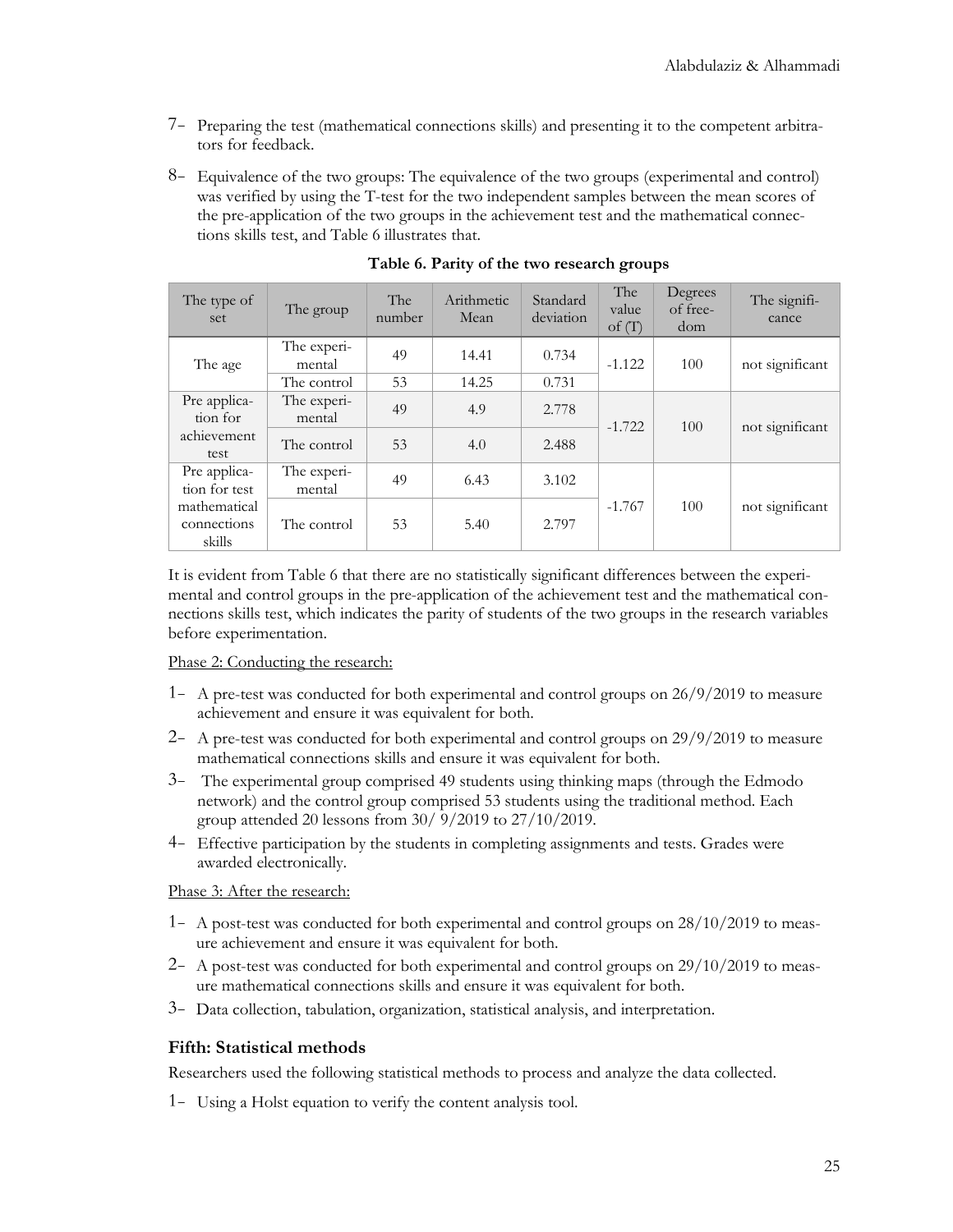- 7- Preparing the test (mathematical connections skills) and presenting it to the competent arbitrators for feedback.
- 8- Equivalence of the two groups: The equivalence of the two groups (experimental and control) was verified by using the T-test for the two independent samples between the mean scores of the pre-application of the two groups in the achievement test and the mathematical connections skills test, and Table 6 illustrates that.

| The type of<br>set                    | The group             | <b>The</b><br>number | Arithmetic<br>Mean | Standard<br>deviation | The<br>value<br>of $(T)$ | Degrees<br>of free-<br>dom | The signifi-<br>cance |
|---------------------------------------|-----------------------|----------------------|--------------------|-----------------------|--------------------------|----------------------------|-----------------------|
| The age                               | The experi-<br>mental | 49                   | 14.41              | 0.734                 | $-1.122$                 | 100                        | not significant       |
|                                       | The control           | 53                   | 14.25              | 0.731                 |                          |                            |                       |
| Pre applica-<br>tion for              | The experi-<br>mental | 49                   | 4.9                | 2.778                 | $-1.722$                 | 100                        | not significant       |
| achievement<br>test                   | The control           | 53                   | 4.0                | 2.488                 |                          |                            |                       |
| Pre applica-<br>tion for test         | The experi-<br>mental | 49                   | 6.43               | 3.102                 |                          |                            |                       |
| mathematical<br>connections<br>skills | The control           | 53                   | 5.40               | 2.797                 | $-1.767$                 | 100                        | not significant       |

**Table 6. Parity of the two research groups**

It is evident from Table 6 that there are no statistically significant differences between the experimental and control groups in the pre-application of the achievement test and the mathematical connections skills test, which indicates the parity of students of the two groups in the research variables before experimentation.

#### Phase 2: Conducting the research:

- 1- A pre-test was conducted for both experimental and control groups on 26/9/2019 to measure achievement and ensure it was equivalent for both.
- 2- A pre-test was conducted for both experimental and control groups on 29/9/2019 to measure mathematical connections skills and ensure it was equivalent for both.
- 3- The experimental group comprised 49 students using thinking maps (through the Edmodo network) and the control group comprised 53 students using the traditional method. Each group attended 20 lessons from 30/ 9/2019 to 27/10/2019.
- 4- Effective participation by the students in completing assignments and tests. Grades were awarded electronically.

#### Phase 3: After the research:

- 1- A post-test was conducted for both experimental and control groups on 28/10/2019 to measure achievement and ensure it was equivalent for both.
- 2- A post-test was conducted for both experimental and control groups on 29/10/2019 to measure mathematical connections skills and ensure it was equivalent for both.
- 3- Data collection, tabulation, organization, statistical analysis, and interpretation.

#### **Fifth: Statistical methods**

Researchers used the following statistical methods to process and analyze the data collected.

1- Using a Holst equation to verify the content analysis tool.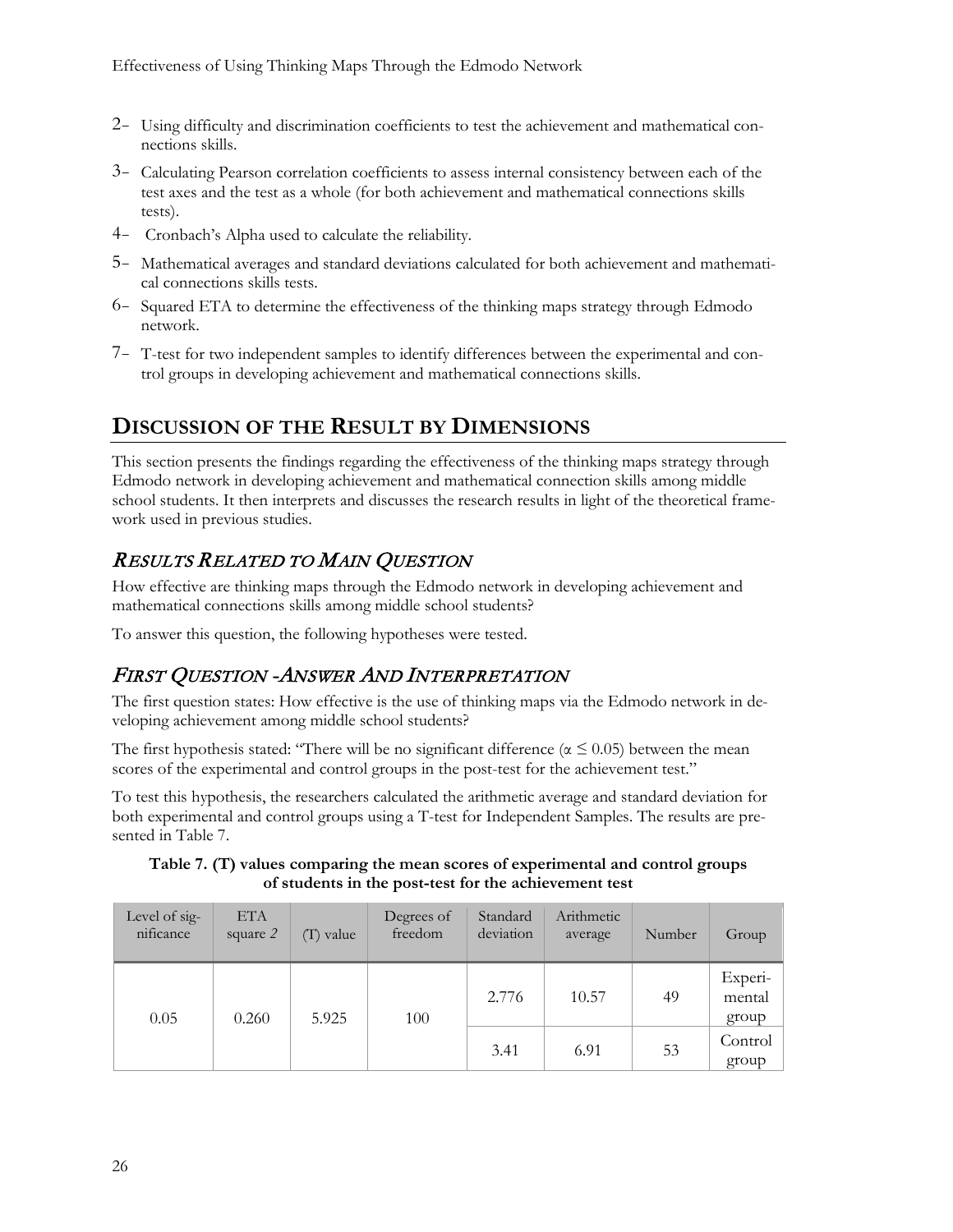- 2- Using difficulty and discrimination coefficients to test the achievement and mathematical connections skills.
- 3- Calculating Pearson correlation coefficients to assess internal consistency between each of the test axes and the test as a whole (for both achievement and mathematical connections skills tests).
- 4- Cronbach's Alpha used to calculate the reliability.
- 5- Mathematical averages and standard deviations calculated for both achievement and mathematical connections skills tests.
- 6- Squared ETA to determine the effectiveness of the thinking maps strategy through Edmodo network.
- 7- T-test for two independent samples to identify differences between the experimental and control groups in developing achievement and mathematical connections skills.

## **DISCUSSION OF THE RESULT BY DIMENSIONS**

This section presents the findings regarding the effectiveness of the thinking maps strategy through Edmodo network in developing achievement and mathematical connection skills among middle school students. It then interprets and discusses the research results in light of the theoretical framework used in previous studies.

## RESULTS RELATED TO MAIN QUESTION

How effective are thinking maps through the Edmodo network in developing achievement and mathematical connections skills among middle school students?

To answer this question, the following hypotheses were tested.

### FIRST QUESTION -ANSWER AND INTERPRETATION

The first question states: How effective is the use of thinking maps via the Edmodo network in developing achievement among middle school students?

The first hypothesis stated: "There will be no significant difference ( $\alpha \le 0.05$ ) between the mean scores of the experimental and control groups in the post-test for the achievement test."

To test this hypothesis, the researchers calculated the arithmetic average and standard deviation for both experimental and control groups using a T-test for Independent Samples. The results are presented in Table 7.

**Table 7. (T) values comparing the mean scores of experimental and control groups of students in the post-test for the achievement test**

| Level of sig-<br>nificance | <b>ETA</b><br>square 2 | $(T)$ value | Degrees of<br>freedom | Standard<br>deviation | Arithmetic<br>average | Number | Group                      |
|----------------------------|------------------------|-------------|-----------------------|-----------------------|-----------------------|--------|----------------------------|
| 0.05<br>0.260              |                        | 5.925       | 100                   | 2.776                 | 10.57                 | 49     | Experi-<br>mental<br>group |
|                            |                        |             |                       | 3.41                  | 6.91                  | 53     | Control<br>group           |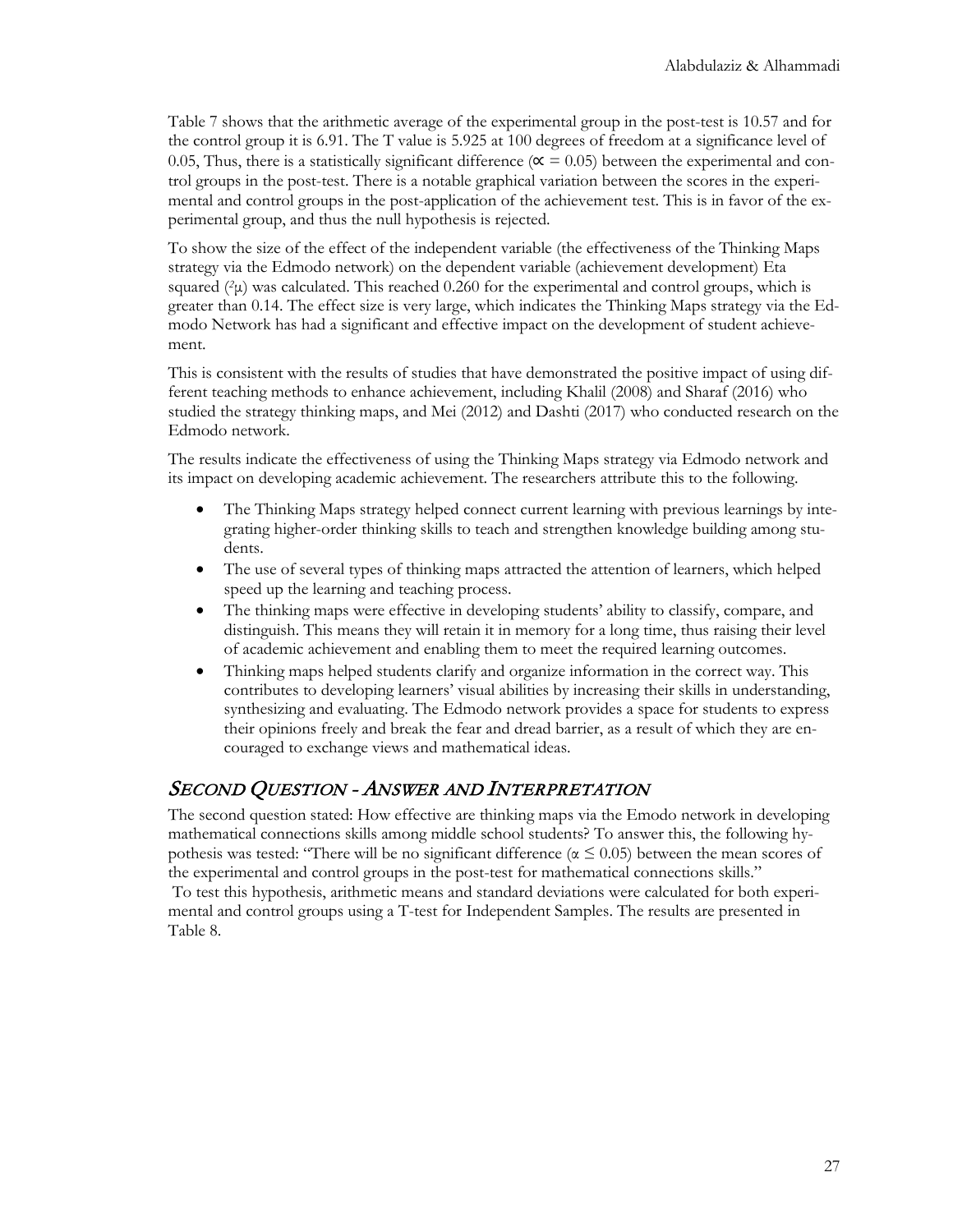Table 7 shows that the arithmetic average of the experimental group in the post-test is 10.57 and for the control group it is 6.91. The T value is 5.925 at 100 degrees of freedom at a significance level of 0.05, Thus, there is a statistically significant difference ( $\alpha$  = 0.05) between the experimental and control groups in the post-test. There is a notable graphical variation between the scores in the experimental and control groups in the post-application of the achievement test. This is in favor of the experimental group, and thus the null hypothesis is rejected.

To show the size of the effect of the independent variable (the effectiveness of the Thinking Maps strategy via the Edmodo network) on the dependent variable (achievement development) Eta squared  $(\alpha \mu)$  was calculated. This reached 0.260 for the experimental and control groups, which is greater than 0.14. The effect size is very large, which indicates the Thinking Maps strategy via the Edmodo Network has had a significant and effective impact on the development of student achievement.

This is consistent with the results of studies that have demonstrated the positive impact of using different teaching methods to enhance achievement, including Khalil (2008) and Sharaf (2016) who studied the strategy thinking maps, and Mei (2012) and Dashti (2017) who conducted research on the Edmodo network.

The results indicate the effectiveness of using the Thinking Maps strategy via Edmodo network and its impact on developing academic achievement. The researchers attribute this to the following.

- The Thinking Maps strategy helped connect current learning with previous learnings by integrating higher-order thinking skills to teach and strengthen knowledge building among students.
- The use of several types of thinking maps attracted the attention of learners, which helped speed up the learning and teaching process.
- The thinking maps were effective in developing students' ability to classify, compare, and distinguish. This means they will retain it in memory for a long time, thus raising their level of academic achievement and enabling them to meet the required learning outcomes.
- Thinking maps helped students clarify and organize information in the correct way. This contributes to developing learners' visual abilities by increasing their skills in understanding, synthesizing and evaluating. The Edmodo network provides a space for students to express their opinions freely and break the fear and dread barrier, as a result of which they are encouraged to exchange views and mathematical ideas.

### SECOND QUESTION - ANSWER AND INTERPRETATION

The second question stated: How effective are thinking maps via the Emodo network in developing mathematical connections skills among middle school students? To answer this, the following hypothesis was tested: "There will be no significant difference ( $\alpha \leq 0.05$ ) between the mean scores of the experimental and control groups in the post-test for mathematical connections skills." To test this hypothesis, arithmetic means and standard deviations were calculated for both experimental and control groups using a T-test for Independent Samples. The results are presented in Table 8.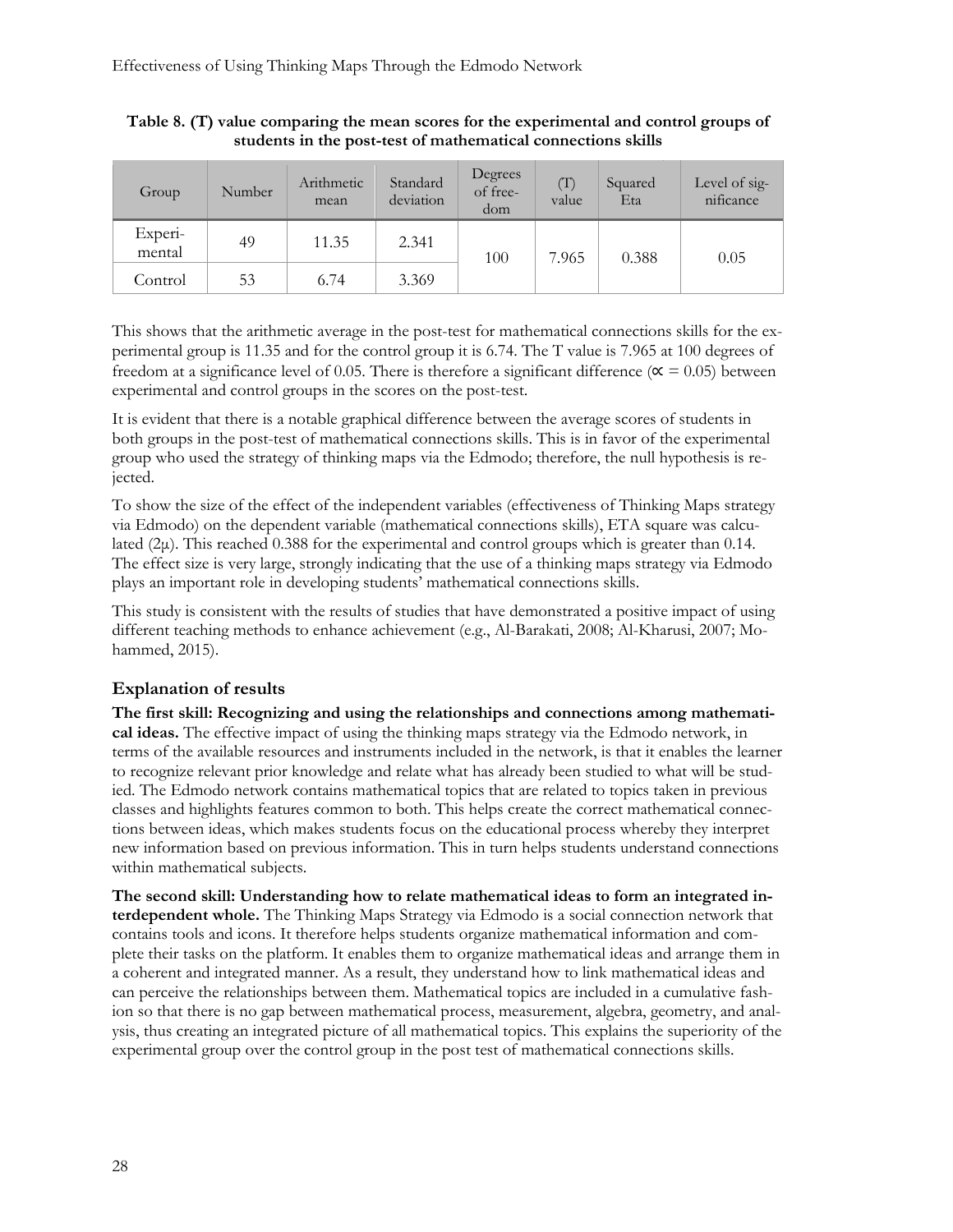| Group             | Number | Arithmetic<br>mean | Standard<br>deviation | Degrees<br>of free-<br>dom | (T)<br>value | Squared<br>Eta | Level of sig-<br>nificance |
|-------------------|--------|--------------------|-----------------------|----------------------------|--------------|----------------|----------------------------|
| Experi-<br>mental | 49     | 11.35              | 2.341                 | 100                        | 7.965        | 0.388          | 0.05                       |
| Control           | 53     | 6.74               | 3.369                 |                            |              |                |                            |

**Table 8. (T) value comparing the mean scores for the experimental and control groups of students in the post-test of mathematical connections skills**

This shows that the arithmetic average in the post-test for mathematical connections skills for the experimental group is 11.35 and for the control group it is 6.74. The T value is 7.965 at 100 degrees of freedom at a significance level of 0.05. There is therefore a significant difference ( $\alpha$  = 0.05) between experimental and control groups in the scores on the post-test.

It is evident that there is a notable graphical difference between the average scores of students in both groups in the post-test of mathematical connections skills. This is in favor of the experimental group who used the strategy of thinking maps via the Edmodo; therefore, the null hypothesis is rejected.

To show the size of the effect of the independent variables (effectiveness of Thinking Maps strategy via Edmodo) on the dependent variable (mathematical connections skills), ETA square was calculated  $(2\mu)$ . This reached 0.388 for the experimental and control groups which is greater than 0.14. The effect size is very large, strongly indicating that the use of a thinking maps strategy via Edmodo plays an important role in developing students' mathematical connections skills.

This study is consistent with the results of studies that have demonstrated a positive impact of using different teaching methods to enhance achievement (e.g., Al-Barakati, 2008; Al-Kharusi, 2007; Mohammed, 2015).

#### **Explanation of results**

**The first skill: Recognizing and using the relationships and connections among mathematical ideas.** The effective impact of using the thinking maps strategy via the Edmodo network, in terms of the available resources and instruments included in the network, is that it enables the learner to recognize relevant prior knowledge and relate what has already been studied to what will be studied. The Edmodo network contains mathematical topics that are related to topics taken in previous classes and highlights features common to both. This helps create the correct mathematical connections between ideas, which makes students focus on the educational process whereby they interpret new information based on previous information. This in turn helps students understand connections within mathematical subjects.

**The second skill: Understanding how to relate mathematical ideas to form an integrated interdependent whole.** The Thinking Maps Strategy via Edmodo is a social connection network that contains tools and icons. It therefore helps students organize mathematical information and complete their tasks on the platform. It enables them to organize mathematical ideas and arrange them in a coherent and integrated manner. As a result, they understand how to link mathematical ideas and can perceive the relationships between them. Mathematical topics are included in a cumulative fashion so that there is no gap between mathematical process, measurement, algebra, geometry, and analysis, thus creating an integrated picture of all mathematical topics. This explains the superiority of the experimental group over the control group in the post test of mathematical connections skills.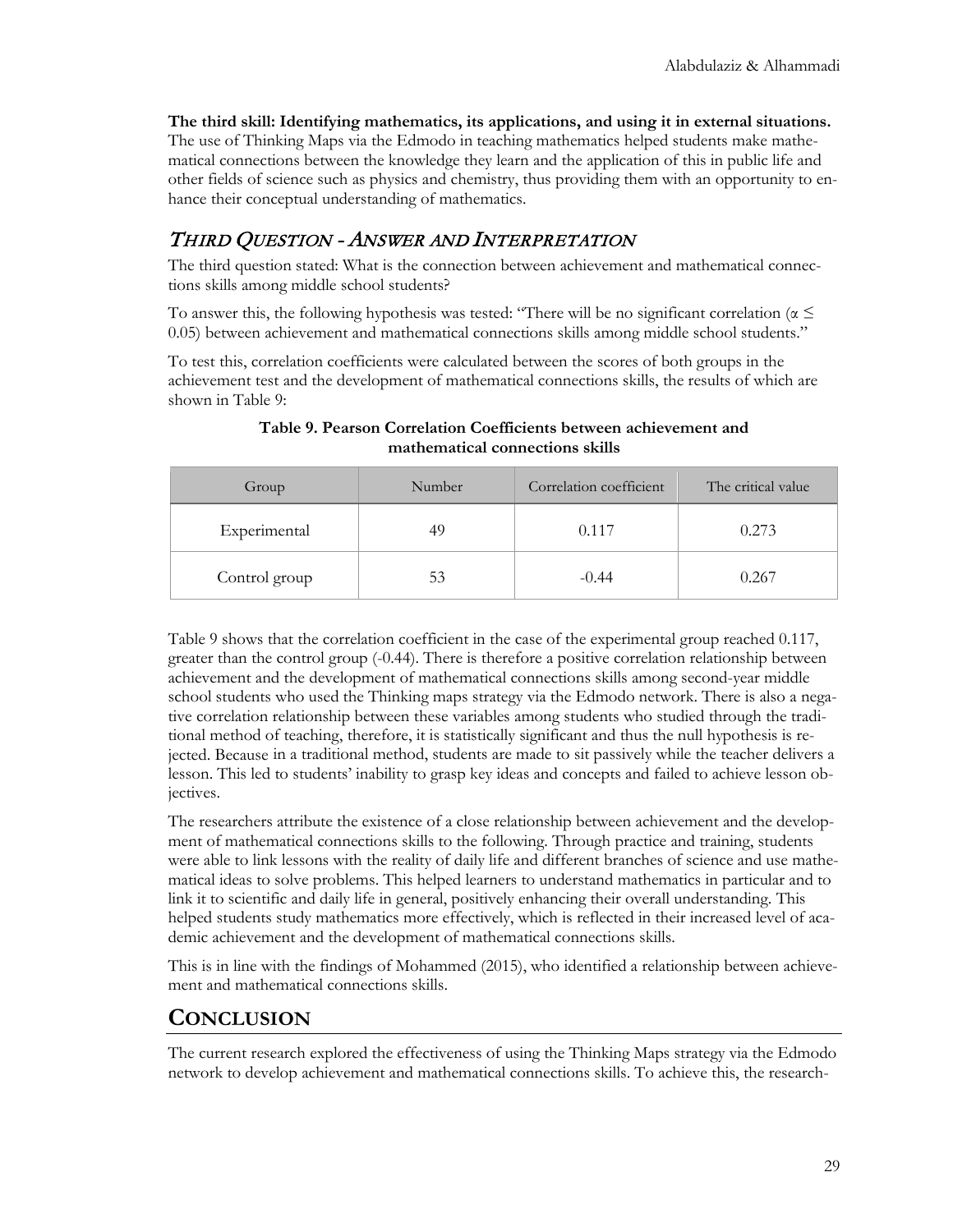**The third skill: Identifying mathematics, its applications, and using it in external situations.** The use of Thinking Maps via the Edmodo in teaching mathematics helped students make mathematical connections between the knowledge they learn and the application of this in public life and other fields of science such as physics and chemistry, thus providing them with an opportunity to enhance their conceptual understanding of mathematics.

## THIRD QUESTION - ANSWER AND INTERPRETATION

The third question stated: What is the connection between achievement and mathematical connections skills among middle school students?

To answer this, the following hypothesis was tested: "There will be no significant correlation ( $\alpha \leq$ 0.05) between achievement and mathematical connections skills among middle school students."

To test this, correlation coefficients were calculated between the scores of both groups in the achievement test and the development of mathematical connections skills, the results of which are shown in Table 9:

| Group         | Number | Correlation coefficient | The critical value |  |
|---------------|--------|-------------------------|--------------------|--|
| Experimental  | 49     | 0.117                   | 0.273              |  |
| Control group | 53     | $-0.44$                 | 0.267              |  |

**Table 9. Pearson Correlation Coefficients between achievement and mathematical connections skills**

Table 9 shows that the correlation coefficient in the case of the experimental group reached 0.117, greater than the control group (-0.44). There is therefore a positive correlation relationship between achievement and the development of mathematical connections skills among second-year middle school students who used the Thinking maps strategy via the Edmodo network. There is also a negative correlation relationship between these variables among students who studied through the traditional method of teaching, therefore, it is statistically significant and thus the null hypothesis is rejected. Because in a traditional method, students are made to sit passively while the teacher delivers a lesson. This led to students' inability to grasp key ideas and concepts and failed to achieve lesson objectives.

The researchers attribute the existence of a close relationship between achievement and the development of mathematical connections skills to the following. Through practice and training, students were able to link lessons with the reality of daily life and different branches of science and use mathematical ideas to solve problems. This helped learners to understand mathematics in particular and to link it to scientific and daily life in general, positively enhancing their overall understanding. This helped students study mathematics more effectively, which is reflected in their increased level of academic achievement and the development of mathematical connections skills.

This is in line with the findings of Mohammed (2015), who identified a relationship between achievement and mathematical connections skills.

## **CONCLUSION**

The current research explored the effectiveness of using the Thinking Maps strategy via the Edmodo network to develop achievement and mathematical connections skills. To achieve this, the research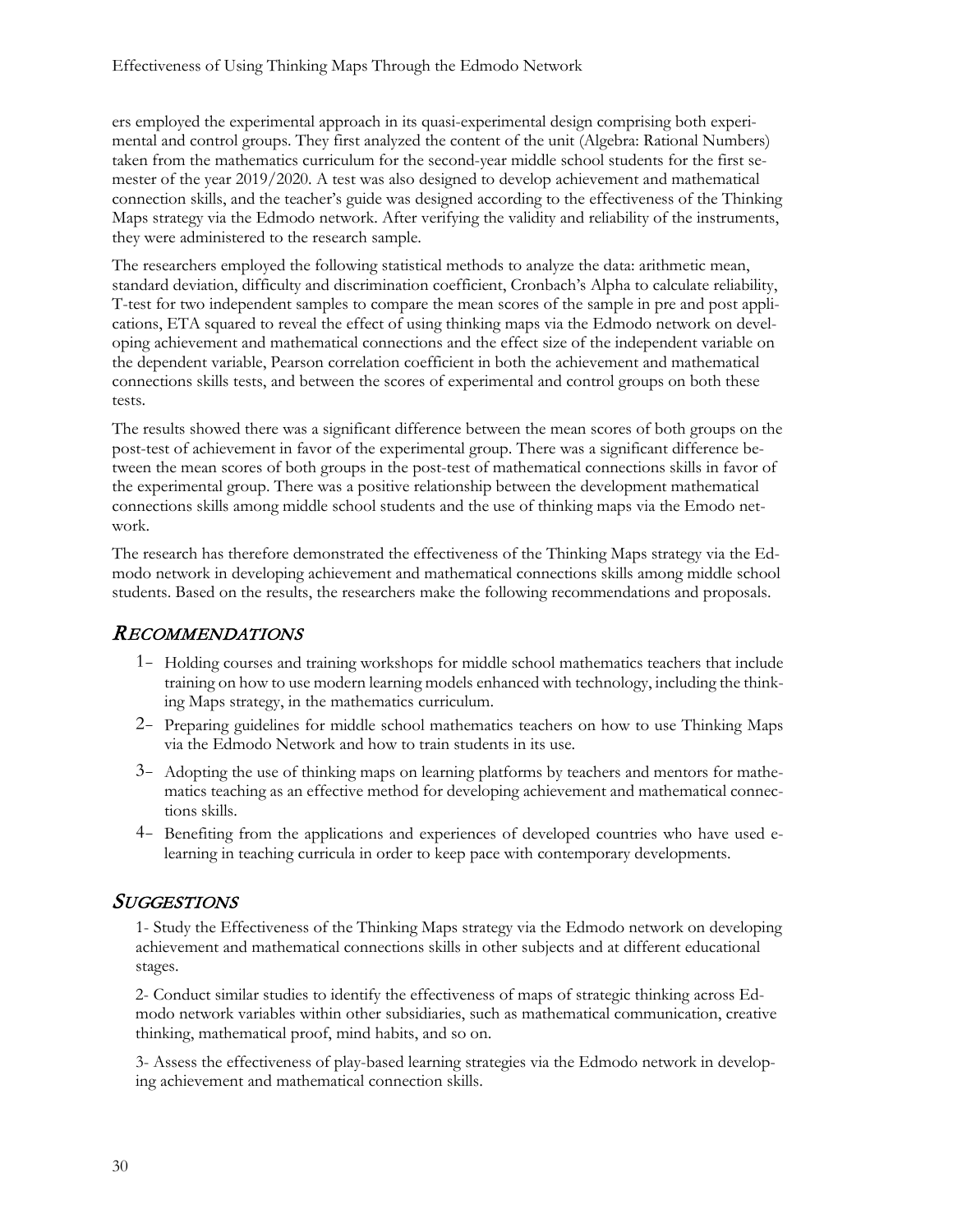ers employed the experimental approach in its quasi-experimental design comprising both experimental and control groups. They first analyzed the content of the unit (Algebra: Rational Numbers) taken from the mathematics curriculum for the second-year middle school students for the first semester of the year 2019/2020. A test was also designed to develop achievement and mathematical connection skills, and the teacher's guide was designed according to the effectiveness of the Thinking Maps strategy via the Edmodo network. After verifying the validity and reliability of the instruments, they were administered to the research sample.

The researchers employed the following statistical methods to analyze the data: arithmetic mean, standard deviation, difficulty and discrimination coefficient, Cronbach's Alpha to calculate reliability, T-test for two independent samples to compare the mean scores of the sample in pre and post applications, ETA squared to reveal the effect of using thinking maps via the Edmodo network on developing achievement and mathematical connections and the effect size of the independent variable on the dependent variable, Pearson correlation coefficient in both the achievement and mathematical connections skills tests, and between the scores of experimental and control groups on both these tests.

The results showed there was a significant difference between the mean scores of both groups on the post-test of achievement in favor of the experimental group. There was a significant difference between the mean scores of both groups in the post-test of mathematical connections skills in favor of the experimental group. There was a positive relationship between the development mathematical connections skills among middle school students and the use of thinking maps via the Emodo network.

The research has therefore demonstrated the effectiveness of the Thinking Maps strategy via the Edmodo network in developing achievement and mathematical connections skills among middle school students. Based on the results, the researchers make the following recommendations and proposals.

### RECOMMENDATIONS

- 1- Holding courses and training workshops for middle school mathematics teachers that include training on how to use modern learning models enhanced with technology, including the thinking Maps strategy, in the mathematics curriculum.
- 2- Preparing guidelines for middle school mathematics teachers on how to use Thinking Maps via the Edmodo Network and how to train students in its use.
- 3- Adopting the use of thinking maps on learning platforms by teachers and mentors for mathematics teaching as an effective method for developing achievement and mathematical connections skills.
- 4- Benefiting from the applications and experiences of developed countries who have used elearning in teaching curricula in order to keep pace with contemporary developments.

#### **SUGGESTIONS**

1- Study the Effectiveness of the Thinking Maps strategy via the Edmodo network on developing achievement and mathematical connections skills in other subjects and at different educational stages.

2- Conduct similar studies to identify the effectiveness of maps of strategic thinking across Edmodo network variables within other subsidiaries, such as mathematical communication, creative thinking, mathematical proof, mind habits, and so on.

3- Assess the effectiveness of play-based learning strategies via the Edmodo network in developing achievement and mathematical connection skills.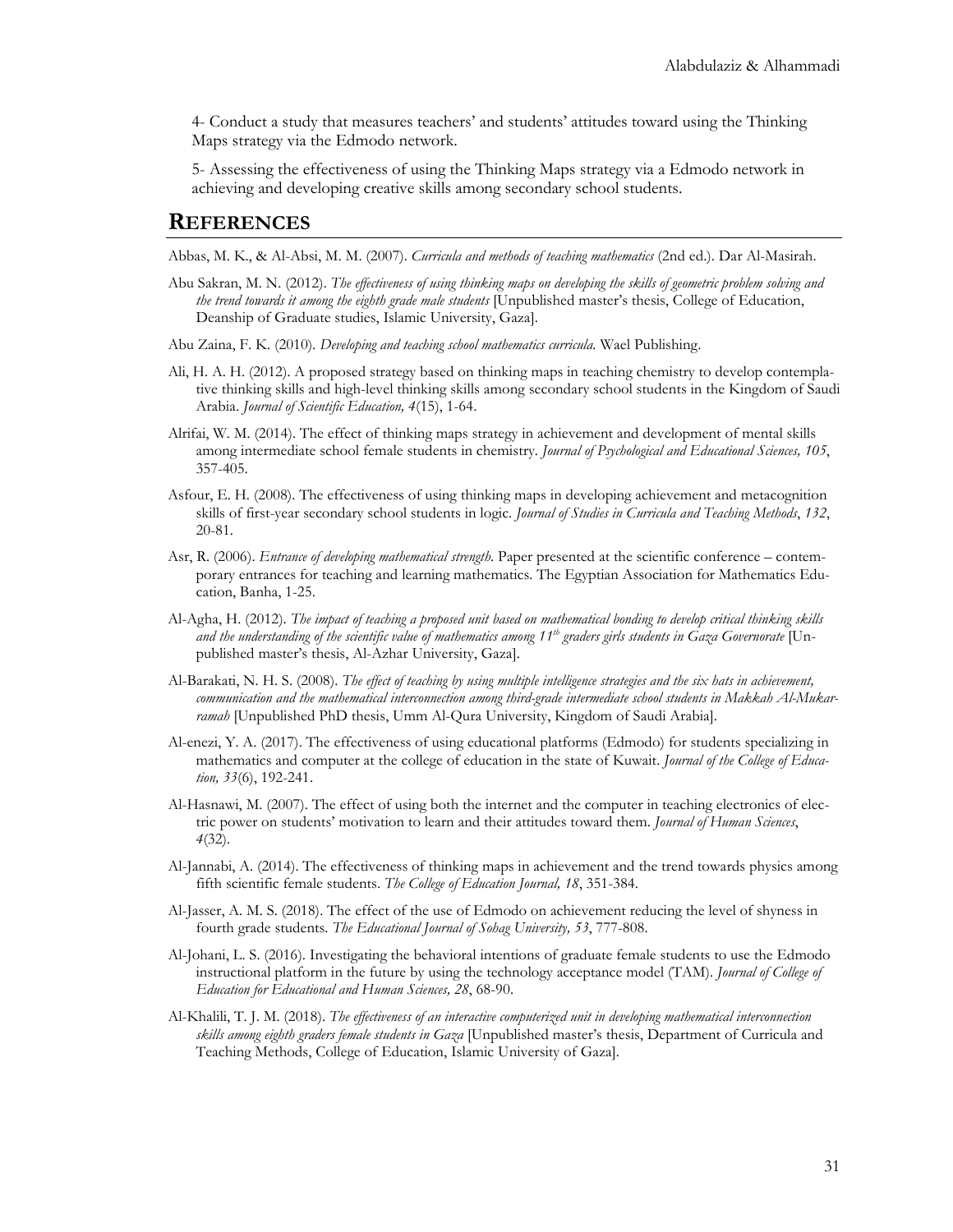4- Conduct a study that measures teachers' and students' attitudes toward using the Thinking Maps strategy via the Edmodo network.

5- Assessing the effectiveness of using the Thinking Maps strategy via a Edmodo network in achieving and developing creative skills among secondary school students.

#### **REFERENCES**

Abbas, M. K., & Al-Absi, M. M. (2007). *Curricula and methods of teaching mathematics* (2nd ed.). Dar Al-Masirah.

- Abu Sakran, M. N. (2012). *The effectiveness of using thinking maps on developing the skills of geometric problem solving and the trend towards it among the eighth grade male students* [Unpublished master's thesis, College of Education, Deanship of Graduate studies, Islamic University, Gaza].
- Abu Zaina, F. K. (2010)*. Developing and teaching school mathematics curricula.* Wael Publishing.
- Ali, H. A. H. (2012). A proposed strategy based on thinking maps in teaching chemistry to develop contemplative thinking skills and high-level thinking skills among secondary school students in the Kingdom of Saudi Arabia. *Journal of Scientific Education, 4*(15), 1-64.
- Alrifai, W. M. (2014). The effect of thinking maps strategy in achievement and development of mental skills among intermediate school female students in chemistry*. Journal of Psychological and Educational Sciences, 105*, 357-405.
- Asfour, E. H. (2008). The effectiveness of using thinking maps in developing achievement and metacognition skills of first-year secondary school students in logic. *Journal of Studies in Curricula and Teaching Methods*, *132*, 20-81.
- Asr, R. (2006). *Entrance of developing mathematical strength*. Paper presented at the scientific conference contemporary entrances for teaching and learning mathematics. The Egyptian Association for Mathematics Education, Banha, 1-25.
- Al-Agha, H. (2012). *The impact of teaching a proposed unit based on mathematical bonding to develop critical thinking skills and the understanding of the scientific value of mathematics among 11th graders girls students in Gaza Governorate* [Unpublished master's thesis, Al-Azhar University, Gaza].
- Al-Barakati, N. H. S. (2008). *The effect of teaching by using multiple intelligence strategies and the six hats in achievement, communication and the mathematical interconnection among third-grade intermediate school students in Makkah Al-Mukarramah* [Unpublished PhD thesis, Umm Al-Qura University, Kingdom of Saudi Arabia].
- Al-enezi, Y. A. (2017). The effectiveness of using educational platforms (Edmodo) for students specializing in mathematics and computer at the college of education in the state of Kuwait. *Journal of the College of Education, 33*(6), 192-241.
- Al-Hasnawi, M. (2007). The effect of using both the internet and the computer in teaching electronics of electric power on students' motivation to learn and their attitudes toward them. *Journal of Human Sciences*, *4*(32).
- Al-Jannabi, A. (2014). The effectiveness of thinking maps in achievement and the trend towards physics among fifth scientific female students. *The College of Education Journal, 18*, 351-384.
- Al-Jasser, A. M. S. (2018). The effect of the use of Edmodo on achievement reducing the level of shyness in fourth grade students. *The Educational Journal of Sohag University, 53*, 777-808.
- Al-Johani, L. S. (2016). Investigating the behavioral intentions of graduate female students to use the Edmodo instructional platform in the future by using the technology acceptance model (TAM). *Journal of College of Education for Educational and Human Sciences, 28*, 68-90.
- Al-Khalili, T. J. M. (2018). *The effectiveness of an interactive computerized unit in developing mathematical interconnection skills among eighth graders female students in Gaza* [Unpublished master's thesis, Department of Curricula and Teaching Methods, College of Education, Islamic University of Gaza].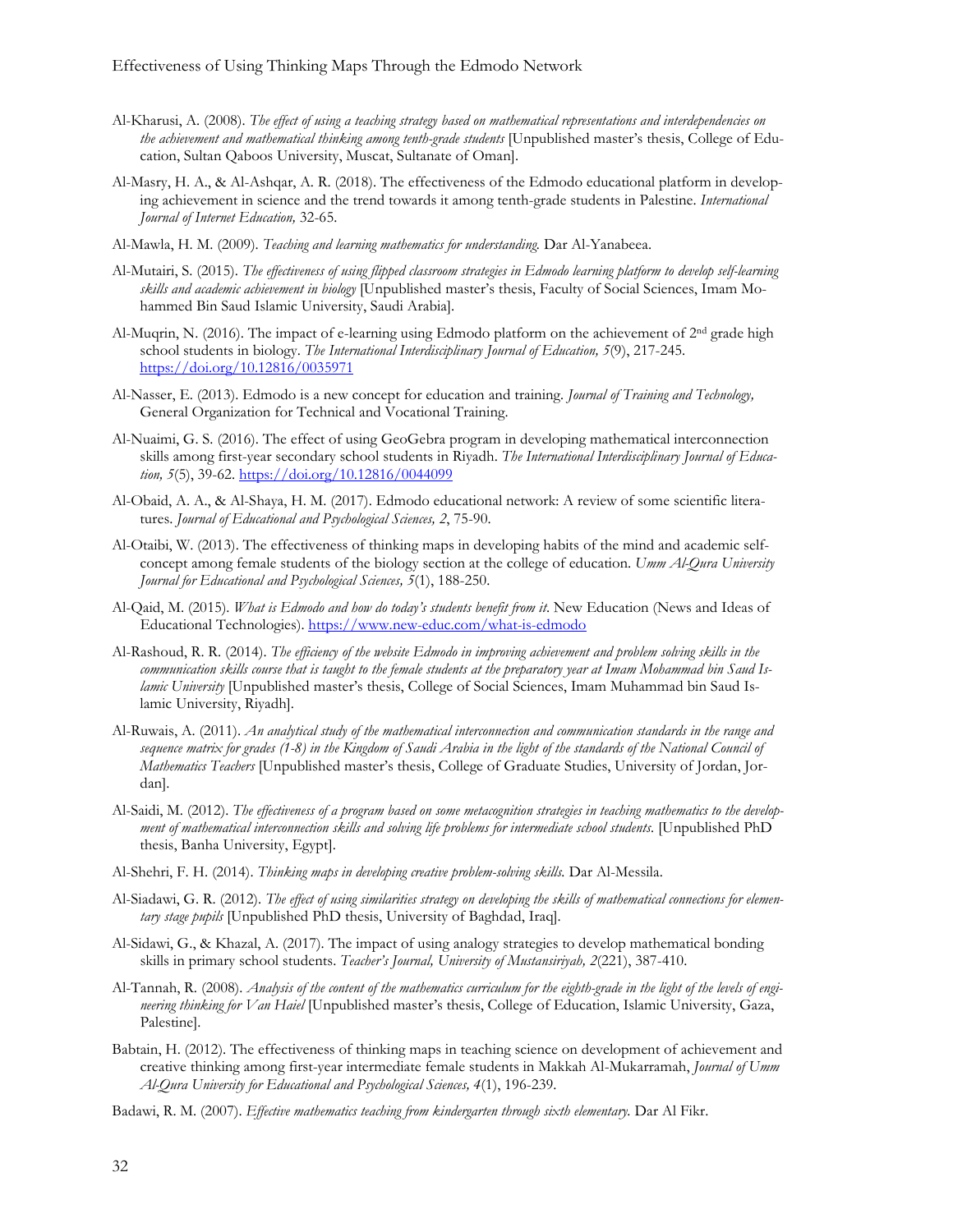- Al-Kharusi, A. (2008). *The effect of using a teaching strategy based on mathematical representations and interdependencies on the achievement and mathematical thinking among tenth-grade students* [Unpublished master's thesis, College of Education, Sultan Qaboos University, Muscat, Sultanate of Oman].
- Al-Masry, H. A., & Al-Ashqar, A. R. (2018). The effectiveness of the Edmodo educational platform in developing achievement in science and the trend towards it among tenth-grade students in Palestine. *International Journal of Internet Education,* 32-65.
- Al-Mawla, H. M. (2009). *Teaching and learning mathematics for understanding.* Dar Al-Yanabeea.
- Al-Mutairi, S. (2015). *The effectiveness of using flipped classroom strategies in Edmodo learning platform to develop self-learning skills and academic achievement in biology* [Unpublished master's thesis, Faculty of Social Sciences, Imam Mohammed Bin Saud Islamic University, Saudi Arabia].
- Al-Muqrin, N. (2016). The impact of e-learning using Edmodo platform on the achievement of 2<sup>nd</sup> grade high school students in biology. *The International Interdisciplinary Journal of Education, 5*(9), 217-245. h[ttps://doi.org/10.12816/0035971](https://doi.org/10.12816/0035971)
- Al-Nasser, E. (2013). Edmodo is a new concept for education and training*. Journal of Training and Technology,* General Organization for Technical and Vocational Training.
- Al-Nuaimi, G. S. (2016). The effect of using GeoGebra program in developing mathematical interconnection skills among first-year secondary school students in Riyadh. *The International Interdisciplinary Journal of Education, 5*(5), 39-62[. https://doi.org/10.12816/0044099](https://doi.org/10.12816/0044099)
- Al-Obaid, A. A., & Al-Shaya, H. M. (2017). Edmodo educational network: A review of some scientific literatures. *Journal of Educational and Psychological Sciences, 2*, 75-90.
- Al-Otaibi, W. (2013). The effectiveness of thinking maps in developing habits of the mind and academic selfconcept among female students of the biology section at the college of education. *Umm Al-Qura University Journal for Educational and Psychological Sciences, 5*(1), 188-250.
- Al-Qaid, M. (2015). *What is Edmodo and how do today's students benefit from it*. New Education (News and Ideas of Educational Technologies).<https://www.new-educ.com/what-is-edmodo>
- Al-Rashoud, R. R. (2014). *The efficiency of the website Edmodo in improving achievement and problem solving skills in the communication skills course that is taught to the female students at the preparatory year at Imam Mohammad bin Saud Islamic University* [Unpublished master's thesis, College of Social Sciences, Imam Muhammad bin Saud Islamic University, Riyadh].
- Al-Ruwais, A. (2011). *An analytical study of the mathematical interconnection and communication standards in the range and*  sequence matrix for grades (1-8) in the Kingdom of Saudi Arabia in the light of the standards of the National Council of *Mathematics Teachers* [Unpublished master's thesis, College of Graduate Studies, University of Jordan, Jordan].
- Al-Saidi, M. (2012). *The effectiveness of a program based on some metacognition strategies in teaching mathematics to the development of mathematical interconnection skills and solving life problems for intermediate school students.* [Unpublished PhD thesis, Banha University, Egypt].
- Al-Shehri, F. H. (2014). *Thinking maps in developing creative problem-solving skills.* Dar Al-Messila.
- Al-Siadawi, G. R. (2012). *The effect of using similarities strategy on developing the skills of mathematical connections for elementary stage pupils* [Unpublished PhD thesis, University of Baghdad, Iraq].
- Al-Sidawi, G., & Khazal, A. (2017). The impact of using analogy strategies to develop mathematical bonding skills in primary school students. *Teacher's Journal, University of Mustansiriyah, 2*(221), 387-410.
- Al-Tannah, R. (2008). *Analysis of the content of the mathematics curriculum for the eighth-grade in the light of the levels of engineering thinking for Van Haiel* [Unpublished master's thesis, College of Education, Islamic University, Gaza, Palestine].
- Babtain, H. (2012). The effectiveness of thinking maps in teaching science on development of achievement and creative thinking among first-year intermediate female students in Makkah Al-Mukarramah, *Journal of Umm Al-Qura University for Educational and Psychological Sciences, 4*(1), 196-239.
- Badawi, R. M. (2007). *Effective mathematics teaching from kindergarten through sixth elementary.* Dar Al Fikr.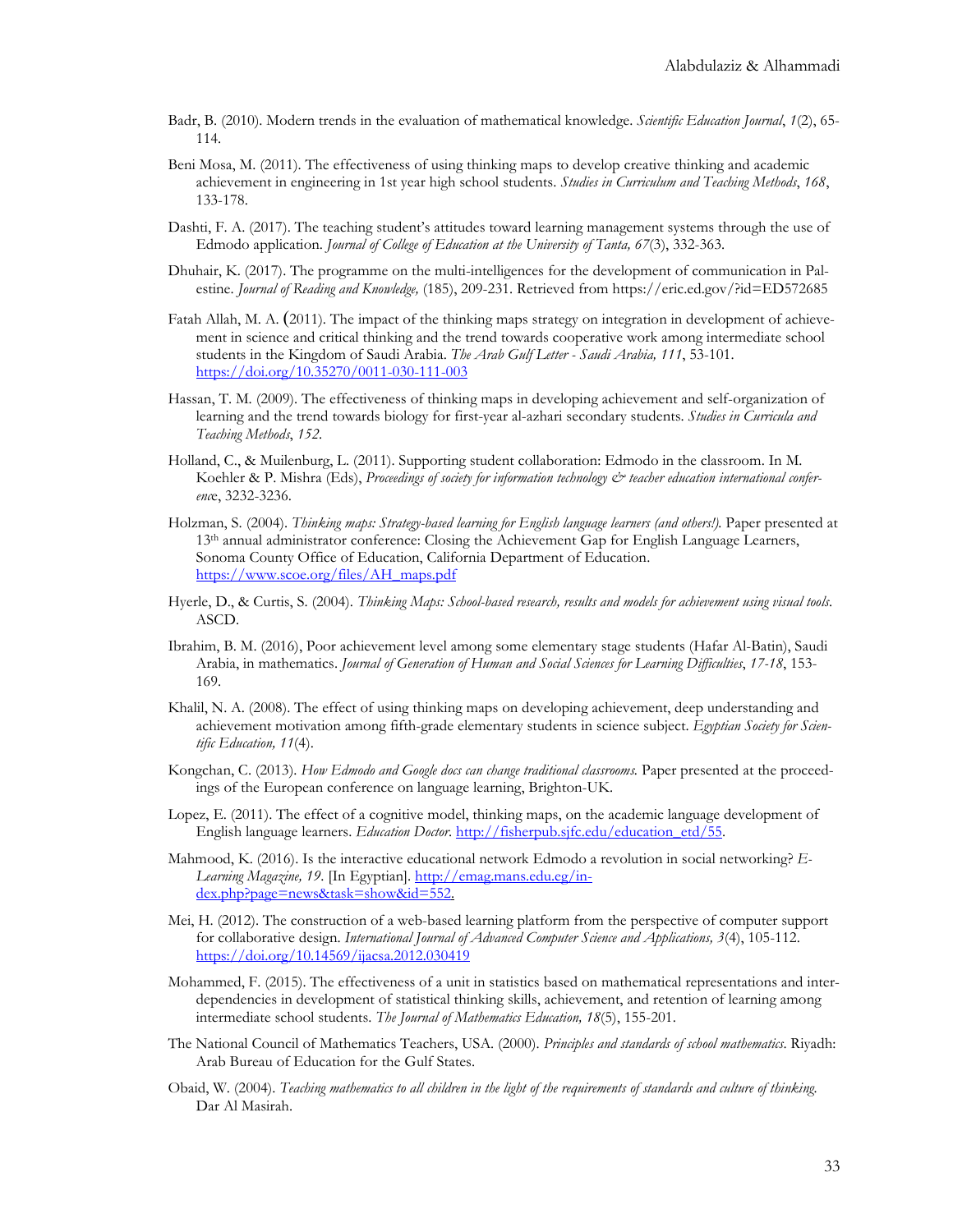- Badr, B. (2010). Modern trends in the evaluation of mathematical knowledge. *Scientific Education Journal*, *1*(2), 65- 114.
- Beni Mosa, M. (2011). The effectiveness of using thinking maps to develop creative thinking and academic achievement in engineering in 1st year high school students. *Studies in Curriculum and Teaching Methods*, *168*, 133-178.
- Dashti, F. A. (2017). The teaching student's attitudes toward learning management systems through the use of Edmodo application. *Journal of College of Education at the University of Tanta, 67*(3), 332-363.
- Dhuhair, K. (2017). The programme on the multi-intelligences for the development of communication in Palestine. *Journal of Reading and Knowledge,* (185), 209-231. Retrieved from https://eric.ed.gov/?id=ED572685
- Fatah Allah, M. A. (2011). The impact of the thinking maps strategy on integration in development of achievement in science and critical thinking and the trend towards cooperative work among intermediate school students in the Kingdom of Saudi Arabia. *The Arab Gulf Letter - Saudi Arabia, 111*, 53-101. <https://doi.org/10.35270/0011-030-111-003>
- Hassan, T. M. (2009). The effectiveness of thinking maps in developing achievement and self-organization of learning and the trend towards biology for first-year al-azhari secondary students. *Studies in Curricula and Teaching Methods*, *152*.
- Holland, C., & Muilenburg, L. (2011). Supporting student collaboration: Edmodo in the classroom. In M. Koehler & P. Mishra (Eds), *Proceedings of society for information technology & teacher education international conferenc*e, 3232-3236.
- Holzman, S. (2004). *Thinking maps: Strategy-based learning for English language learners (and others!)*. Paper presented at 13<sup>th</sup> annual administrator conference: Closing the Achievement Gap for English Language Learners, Sonoma County Office of Education, California Department of Education. [https://www.scoe.org/files/AH\\_maps.pdf](https://www.scoe.org/files/AH_maps.pdf)
- Hyerle, D., & Curtis, S. (2004). *Thinking Maps: School-based research, results and models for achievement using visual tools*. ASCD.
- Ibrahim, B. M. (2016), Poor achievement level among some elementary stage students (Hafar Al-Batin), Saudi Arabia, in mathematics. *Journal of Generation of Human and Social Sciences for Learning Difficulties*, *17-18*, 153- 169.
- Khalil, N. A. (2008). The effect of using thinking maps on developing achievement, deep understanding and achievement motivation among fifth-grade elementary students in science subject. *Egyptian Society for Scientific Education, 11*(4).
- Kongchan, C. (2013). *How Edmodo and Google docs can change traditional classrooms.* Paper presented at the proceedings of the European conference on language learning, Brighton-UK.
- Lopez, E. (2011). The effect of a cognitive model, thinking maps, on the academic language development of English language learners. *Education Doctor*. [http://fisherpub.sjfc.edu/education\\_etd/55](http://fisherpub.sjfc.edu/education_etd/55).
- Mahmood, K. (2016). Is the interactive educational network Edmodo a revolution in social networking? *E-Learning Magazine, 19*. [In Egyptian]. [http://emag.mans.edu.eg/in](http://emag.mans.edu.eg/index.php?page=news&task=show&id=552)[dex.php?page=news&task=show&id=552](http://emag.mans.edu.eg/index.php?page=news&task=show&id=552).
- Mei, H. (2012). The construction of a web-based learning platform from the perspective of computer support for collaborative design. *International Journal of Advanced Computer Science and Applications, 3*(4), 105-112. <https://doi.org/10.14569/ijacsa.2012.030419>
- Mohammed, F. (2015). The effectiveness of a unit in statistics based on mathematical representations and interdependencies in development of statistical thinking skills, achievement, and retention of learning among intermediate school students. *The Journal of Mathematics Education, 18*(5), 155-201.
- The National Council of Mathematics Teachers, USA. (2000). *Principles and standards of school mathematics*. Riyadh: Arab Bureau of Education for the Gulf States.
- Obaid, W. (2004). *Teaching mathematics to all children in the light of the requirements of standards and culture of thinking.* Dar Al Masirah.